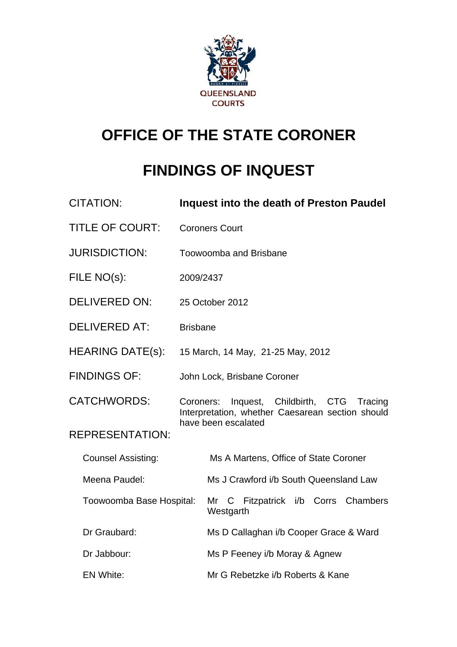

# **OFFICE OF THE STATE CORONER**

# **FINDINGS OF INQUEST**

| <b>CITATION:</b>          | <b>Inquest into the death of Preston Paudel</b>                                                      |  |
|---------------------------|------------------------------------------------------------------------------------------------------|--|
| <b>TITLE OF COURT:</b>    | <b>Coroners Court</b>                                                                                |  |
| <b>JURISDICTION:</b>      | Toowoomba and Brisbane                                                                               |  |
| FILE NO(s):               | 2009/2437                                                                                            |  |
| <b>DELIVERED ON:</b>      | 25 October 2012                                                                                      |  |
| <b>DELIVERED AT:</b>      | <b>Brisbane</b>                                                                                      |  |
| <b>HEARING DATE(s):</b>   | 15 March, 14 May, 21-25 May, 2012                                                                    |  |
| <b>FINDINGS OF:</b>       | John Lock, Brisbane Coroner                                                                          |  |
| <b>CATCHWORDS:</b>        | Inquest, Childbirth, CTG<br>Tracing<br>Coroners:<br>Interpretation, whether Caesarean section should |  |
| <b>REPRESENTATION:</b>    | have been escalated                                                                                  |  |
| <b>Counsel Assisting:</b> | Ms A Martens, Office of State Coroner                                                                |  |
| Meena Paudel:             | Ms J Crawford i/b South Queensland Law                                                               |  |
| Toowoomba Base Hospital:  | Mr C Fitzpatrick i/b Corrs<br>Chambers<br>Westgarth                                                  |  |
| Dr Graubard:              | Ms D Callaghan i/b Cooper Grace & Ward                                                               |  |
| Dr Jabbour:               | Ms P Feeney i/b Moray & Agnew                                                                        |  |
| <b>EN White:</b>          | Mr G Rebetzke i/b Roberts & Kane                                                                     |  |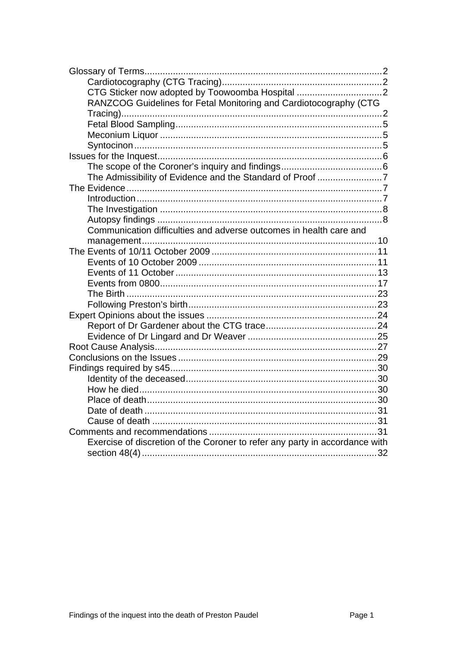| CTG Sticker now adopted by Toowoomba Hospital                               |  |
|-----------------------------------------------------------------------------|--|
| RANZCOG Guidelines for Fetal Monitoring and Cardiotocography (CTG           |  |
|                                                                             |  |
|                                                                             |  |
|                                                                             |  |
|                                                                             |  |
|                                                                             |  |
|                                                                             |  |
| The Admissibility of Evidence and the Standard of Proof 7                   |  |
|                                                                             |  |
|                                                                             |  |
|                                                                             |  |
|                                                                             |  |
| Communication difficulties and adverse outcomes in health care and          |  |
|                                                                             |  |
|                                                                             |  |
|                                                                             |  |
|                                                                             |  |
|                                                                             |  |
|                                                                             |  |
|                                                                             |  |
|                                                                             |  |
|                                                                             |  |
|                                                                             |  |
|                                                                             |  |
|                                                                             |  |
|                                                                             |  |
|                                                                             |  |
|                                                                             |  |
|                                                                             |  |
|                                                                             |  |
|                                                                             |  |
|                                                                             |  |
| Exercise of discretion of the Coroner to refer any party in accordance with |  |
|                                                                             |  |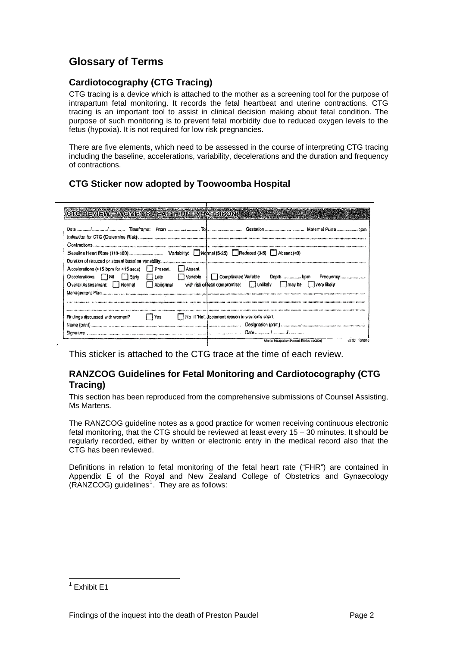## <span id="page-2-0"></span>**Glossary of Terms**

## **Cardiotocography (CTG Tracing)**

CTG tracing is a device which is attached to the mother as a screening tool for the purpose of intrapartum fetal monitoring. It records the fetal heartbeat and uterine contractions. CTG tracing is an important tool to assist in clinical decision making about fetal condition. The purpose of such monitoring is to prevent fetal morbidity due to reduced oxygen levels to the fetus (hypoxia). It is not required for low risk pregnancies.

There are five elements, which need to be assessed in the course of interpreting CTG tracing including the baseline, accelerations, variability, decelerations and the duration and frequency of contractions.

## **CTG Sticker now adopted by Toowoomba Hospital**

| CTC REVIEW - WOMEN'S HEALTHUNIT (HARPISON)                                                                                                                                                                                     |                                                                                                                                            |
|--------------------------------------------------------------------------------------------------------------------------------------------------------------------------------------------------------------------------------|--------------------------------------------------------------------------------------------------------------------------------------------|
|                                                                                                                                                                                                                                | Date <i>manual barraced assessas</i> Timeframe: From <i>manual manual Toleranom manual</i> Gestation manual manual manual Pulse manual pom |
|                                                                                                                                                                                                                                | Indication for CTG (Determine Risk) components are constructed and communical communications are constructed and anti-                     |
|                                                                                                                                                                                                                                |                                                                                                                                            |
|                                                                                                                                                                                                                                |                                                                                                                                            |
|                                                                                                                                                                                                                                |                                                                                                                                            |
| Absent<br>Accelerations (>15 bpm for >15 secs)   Present.                                                                                                                                                                      |                                                                                                                                            |
| Decelerations: Nil Early<br>Variable<br>Late                                                                                                                                                                                   | Complicated Variable<br>Depthbpm<br>Frequency                                                                                              |
| Overall Assessment: Normal<br>Abnormal                                                                                                                                                                                         | with risk of fetal compromise: unlikely may be very likely                                                                                 |
| Management Plan , when were returning the content and content the content of the content of the content of the content of the content of the content of the content of the content of the content of the content of the conten |                                                                                                                                            |
|                                                                                                                                                                                                                                | та следние се наполнение диамографизира официонали по промоглави отливать по помого помощной по помого помого помого по                    |
|                                                                                                                                                                                                                                |                                                                                                                                            |
| Findings discussed with woman?<br>l Yes                                                                                                                                                                                        | No Il 'No', document reason in woman's chart.                                                                                              |
|                                                                                                                                                                                                                                |                                                                                                                                            |
|                                                                                                                                                                                                                                |                                                                                                                                            |
|                                                                                                                                                                                                                                | After to Intraportion Record INdex section)<br>10/2010<br>$-250$                                                                           |

This sticker is attached to the CTG trace at the time of each review.

### **RANZCOG Guidelines for Fetal Monitoring and Cardiotocography (CTG Tracing)**

This section has been reproduced from the comprehensive submissions of Counsel Assisting, Ms Martens.

The RANZCOG guideline notes as a good practice for women receiving continuous electronic fetal monitoring, that the CTG should be reviewed at least every 15 – 30 minutes. It should be regularly recorded, either by written or electronic entry in the medical record also that the CTG has been reviewed.

Definitions in relation to fetal monitoring of the fetal heart rate ("FHR") are contained in Appendix E of the Royal and New Zealand College of Obstetrics and Gynaecology  $(RANZCOG)$  guidelines<sup>[1](#page-2-1)</sup>. They are as follows:

<span id="page-2-1"></span> 1 Exhibit E1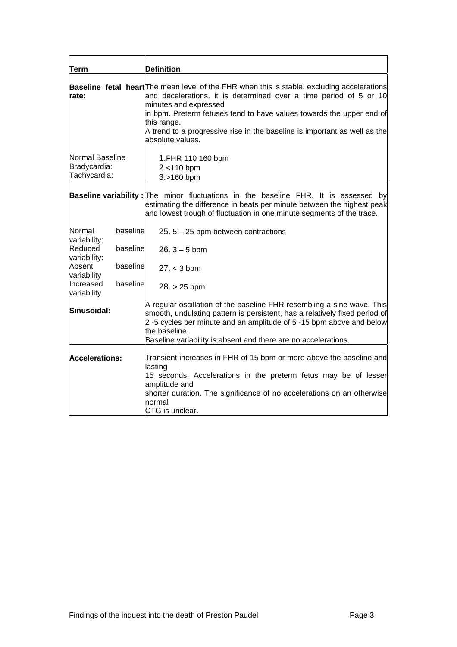| Term                                            |          | <b>Definition</b>                                                                                                                                                                                                                                                                                                                                                                 |
|-------------------------------------------------|----------|-----------------------------------------------------------------------------------------------------------------------------------------------------------------------------------------------------------------------------------------------------------------------------------------------------------------------------------------------------------------------------------|
| rate:                                           |          | Baseline fetal heart The mean level of the FHR when this is stable, excluding accelerations<br>and decelerations. it is determined over a time period of 5 or 10<br>minutes and expressed<br>in bpm. Preterm fetuses tend to have values towards the upper end of<br>this range.<br>A trend to a progressive rise in the baseline is important as well as the<br>absolute values. |
| Normal Baseline<br>Bradycardia:<br>Tachycardia: |          | 1.FHR 110 160 bpm<br>2.<110 bpm<br>3.>160 bpm                                                                                                                                                                                                                                                                                                                                     |
|                                                 |          | <b>Baseline variability:</b> The minor fluctuations in the baseline FHR. It is assessed by<br>estimating the difference in beats per minute between the highest peak<br>and lowest trough of fluctuation in one minute segments of the trace.                                                                                                                                     |
| Normal<br>variability:                          | baseline | 25. $5 - 25$ bpm between contractions                                                                                                                                                                                                                                                                                                                                             |
| Reduced<br>variability:                         | baseline | $26.3 - 5$ bpm                                                                                                                                                                                                                                                                                                                                                                    |
| Absent<br>variability                           | baseline | $27. < 3$ bpm                                                                                                                                                                                                                                                                                                                                                                     |
| Increased<br>variability                        | baseline | $28. > 25$ bpm                                                                                                                                                                                                                                                                                                                                                                    |
| Sinusoidal:                                     |          | A regular oscillation of the baseline FHR resembling a sine wave. This<br>smooth, undulating pattern is persistent, has a relatively fixed period of<br>2-5 cycles per minute and an amplitude of 5-15 bpm above and below<br>the baseline.<br>Baseline variability is absent and there are no accelerations.                                                                     |
| <b>Accelerations:</b>                           |          | Transient increases in FHR of 15 bpm or more above the baseline and<br>lasting<br>15 seconds. Accelerations in the preterm fetus may be of lesser<br>amplitude and<br>shorter duration. The significance of no accelerations on an otherwise<br>normal<br><b>CTG</b> is unclear.                                                                                                  |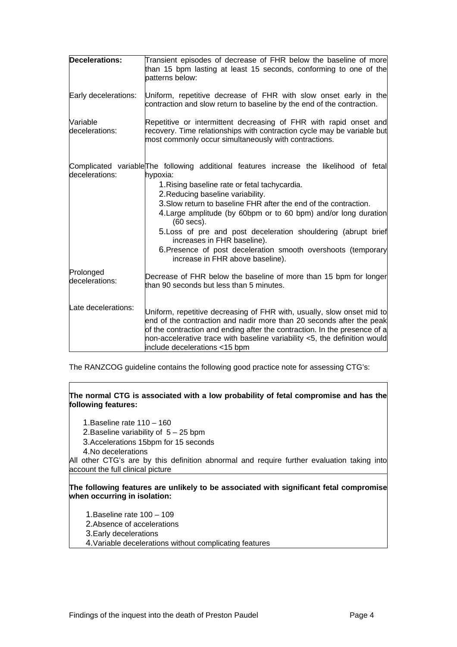| <b>Decelerations:</b>       | Transient episodes of decrease of FHR below the baseline of more<br>than 15 bpm lasting at least 15 seconds, conforming to one of the<br>patterns below:                                                                                                                                                                                                                                                                                                                                                                                              |
|-----------------------------|-------------------------------------------------------------------------------------------------------------------------------------------------------------------------------------------------------------------------------------------------------------------------------------------------------------------------------------------------------------------------------------------------------------------------------------------------------------------------------------------------------------------------------------------------------|
| Early decelerations:        | Uniform, repetitive decrease of FHR with slow onset early in the<br>contraction and slow return to baseline by the end of the contraction.                                                                                                                                                                                                                                                                                                                                                                                                            |
| Variable<br>decelerations:  | Repetitive or intermittent decreasing of FHR with rapid onset and<br>recovery. Time relationships with contraction cycle may be variable but<br>most commonly occur simultaneously with contractions.                                                                                                                                                                                                                                                                                                                                                 |
| decelerations:              | Complicated variable The following additional features increase the likelihood of fetal<br>hypoxia:<br>1. Rising baseline rate or fetal tachycardia.<br>2. Reducing baseline variability.<br>3. Slow return to baseline FHR after the end of the contraction.<br>4. Large amplitude (by 60 bpm or to 60 bpm) and/or long duration<br>(60 secs).<br>5. Loss of pre and post deceleration shouldering (abrupt brief<br>increases in FHR baseline).<br>6. Presence of post deceleration smooth overshoots (temporary<br>increase in FHR above baseline). |
| Prolonged<br>decelerations: | Decrease of FHR below the baseline of more than 15 bpm for longer<br>than 90 seconds but less than 5 minutes.                                                                                                                                                                                                                                                                                                                                                                                                                                         |
| Late decelerations:         | Uniform, repetitive decreasing of FHR with, usually, slow onset mid to<br>end of the contraction and nadir more than 20 seconds after the peak<br>of the contraction and ending after the contraction. In the presence of a<br>non-accelerative trace with baseline variability $<$ 5, the definition would<br>include decelerations <15 bpm                                                                                                                                                                                                          |

The RANZCOG guideline contains the following good practice note for assessing CTG's:

#### **The normal CTG is associated with a low probability of fetal compromise and has the following features:**

1.Baseline rate 110 – 160

2. Baseline variability of  $5 - 25$  bpm

3.Accelerations 15bpm for 15 seconds

4.No decelerations

All other CTG's are by this d efinition abnormal and require further evaluation taking into account the full clinical picture

#### **The following features are unlikely to be associated with significant fetal compromise when occurring in isolation:**

1.Baseline rate 100 – 109

2. Absence of accelerations

3.Early decelerations

4.Variable decelerations without complicating features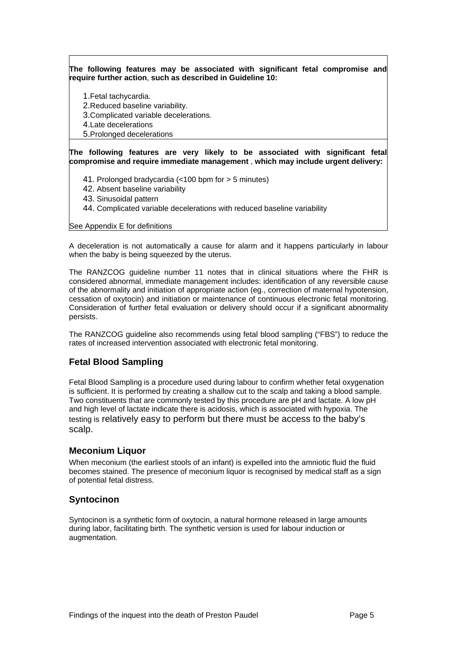<span id="page-5-0"></span>**The following features may be associated with significant fetal compromise and require further action**, **such as described in Guideline 10:** 

1.Fetal tachycardia. 2.Reduced baseline variability. 3.Complicated variable decelerations. 4.Late decelerations

5.Prolonged decelerations

**The following features are very likely to be associated with significant fetal compromise and require immediate management** , **which may include urgent delivery:**

41. Prolonged bradycardia (<1 00 bpm for > 5 minutes)

- 42. Absent baseline variability
- 43. Sinusoidal pattern
- 44. Complicated variable decelerations with reduced baseline variability

#### See Appendix E for definitions

A deceleration is not automatically a cause for alarm and it happens particularly in labour when the baby is being squeezed by the uterus.

The RANZCOG guideline number 11 notes that in clinical situations where the FHR is considered abnormal, immediate management includes: identification of any reversible cause of the abnormality and initiation of appropriate action (eg., correction of maternal hypotension, cessation of oxytocin) and initiation or maintenance of continuous electronic fetal monitoring. Consideration of further fetal evaluation or delivery should occur if a significant abnormality persists.

The RANZCOG guideline also recommends using fetal blood sampling ("FBS") to reduce the rates of increased intervention associated with electronic fetal monitoring.

## **Fetal Blood Sampling**

Fetal Blood Sampling is a procedure used during labour to confirm whether fetal oxygenation is sufficient. It is performed by creating a shallow cut to the scalp and taking a blood sample. Two constituents that are commonly tested by this procedure are pH and lactate. A low pH and high level of lactate indicate there is acidosis, which is associated with hypoxia. The testing is relatively easy to perform but there must be access to the baby's scalp.

#### **Meconium Liquor**

When meconium (the earliest stools of an infant) is expelled into the amniotic fluid the fluid becomes stained. The presence of meconium liquor is recognised by medical staff as a sign of potential fetal distress.

#### **Syntocinon**

Syntocinon is a synthetic form of oxytocin, a natural hormone released in large amounts during labor, facilitating birth. The synthetic version is used for labour induction or augmentation.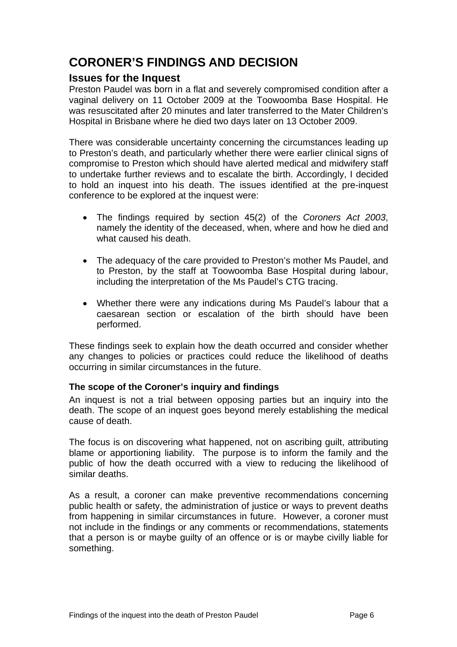# <span id="page-6-0"></span>**CORONER'S FINDINGS AND DECISION**

## **Issues for the Inquest**

Preston Paudel was born in a flat and severely compromised condition after a vaginal delivery on 11 October 2009 at the Toowoomba Base Hospital. He was resuscitated after 20 minutes and later transferred to the Mater Children's Hospital in Brisbane where he died two days later on 13 October 2009.

There was considerable uncertainty concerning the circumstances leading up to Preston's death, and particularly whether there were earlier clinical signs of compromise to Preston which should have alerted medical and midwifery staff to undertake further reviews and to escalate the birth. Accordingly, I decided to hold an inquest into his death. The issues identified at the pre-inquest conference to be explored at the inquest were:

- The findings required by section 45(2) of the *Coroners Act 2003*, namely the identity of the deceased, when, where and how he died and what caused his death.
- The adequacy of the care provided to Preston's mother Ms Paudel, and to Preston, by the staff at Toowoomba Base Hospital during labour, including the interpretation of the Ms Paudel's CTG tracing.
- Whether there were any indications during Ms Paudel's labour that a caesarean section or escalation of the birth should have been performed.

These findings seek to explain how the death occurred and consider whether any changes to policies or practices could reduce the likelihood of deaths occurring in similar circumstances in the future.

## **The scope of the Coroner's inquiry and findings**

An inquest is not a trial between opposing parties but an inquiry into the death. The scope of an inquest goes beyond merely establishing the medical cause of death.

The focus is on discovering what happened, not on ascribing guilt, attributing blame or apportioning liability. The purpose is to inform the family and the public of how the death occurred with a view to reducing the likelihood of similar deaths.

As a result, a coroner can make preventive recommendations concerning public health or safety, the administration of justice or ways to prevent deaths from happening in similar circumstances in future. However, a coroner must not include in the findings or any comments or recommendations, statements that a person is or maybe guilty of an offence or is or maybe civilly liable for something.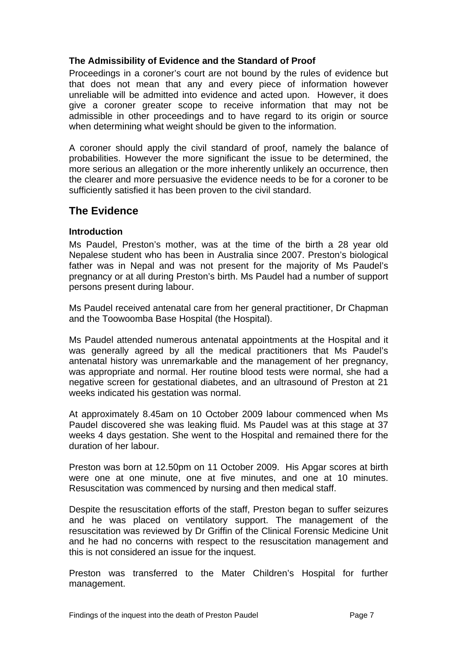## <span id="page-7-0"></span>**The Admissibility of Evidence and the Standard of Proof**

Proceedings in a coroner's court are not bound by the rules of evidence but that does not mean that any and every piece of information however unreliable will be admitted into evidence and acted upon. However, it does give a coroner greater scope to receive information that may not be admissible in other proceedings and to have regard to its origin or source when determining what weight should be given to the information.

A coroner should apply the civil standard of proof, namely the balance of probabilities. However the more significant the issue to be determined, the more serious an allegation or the more inherently unlikely an occurrence, then the clearer and more persuasive the evidence needs to be for a coroner to be sufficiently satisfied it has been proven to the civil standard.

## **The Evidence**

## **Introduction**

Ms Paudel, Preston's mother, was at the time of the birth a 28 year old Nepalese student who has been in Australia since 2007. Preston's biological father was in Nepal and was not present for the majority of Ms Paudel's pregnancy or at all during Preston's birth. Ms Paudel had a number of support persons present during labour.

Ms Paudel received antenatal care from her general practitioner, Dr Chapman and the Toowoomba Base Hospital (the Hospital).

Ms Paudel attended numerous antenatal appointments at the Hospital and it was generally agreed by all the medical practitioners that Ms Paudel's antenatal history was unremarkable and the management of her pregnancy, was appropriate and normal. Her routine blood tests were normal, she had a negative screen for gestational diabetes, and an ultrasound of Preston at 21 weeks indicated his gestation was normal.

At approximately 8.45am on 10 October 2009 labour commenced when Ms Paudel discovered she was leaking fluid. Ms Paudel was at this stage at 37 weeks 4 days gestation. She went to the Hospital and remained there for the duration of her labour.

Preston was born at 12.50pm on 11 October 2009. His Apgar scores at birth were one at one minute, one at five minutes, and one at 10 minutes. Resuscitation was commenced by nursing and then medical staff.

Despite the resuscitation efforts of the staff, Preston began to suffer seizures and he was placed on ventilatory support. The management of the resuscitation was reviewed by Dr Griffin of the Clinical Forensic Medicine Unit and he had no concerns with respect to the resuscitation management and this is not considered an issue for the inquest.

Preston was transferred to the Mater Children's Hospital for further management.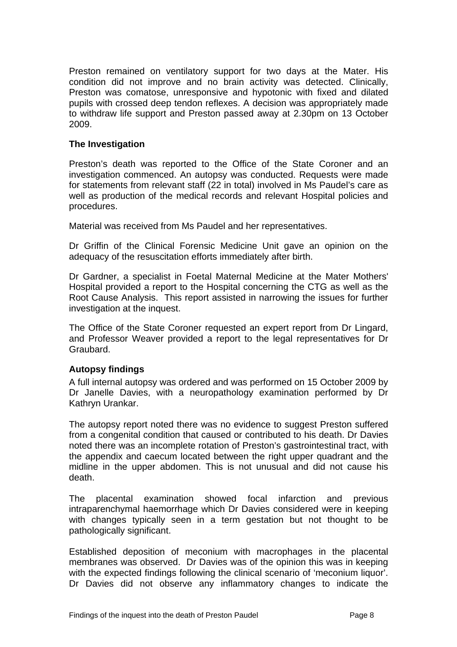<span id="page-8-0"></span>Preston remained on ventilatory support for two days at the Mater. His condition did not improve and no brain activity was detected. Clinically, Preston was comatose, unresponsive and hypotonic with fixed and dilated pupils with crossed deep tendon reflexes. A decision was appropriately made to withdraw life support and Preston passed away at 2.30pm on 13 October 2009.

## **The Investigation**

Preston's death was reported to the Office of the State Coroner and an investigation commenced. An autopsy was conducted. Requests were made for statements from relevant staff (22 in total) involved in Ms Paudel's care as well as production of the medical records and relevant Hospital policies and procedures.

Material was received from Ms Paudel and her representatives.

Dr Griffin of the Clinical Forensic Medicine Unit gave an opinion on the adequacy of the resuscitation efforts immediately after birth.

Dr Gardner, a specialist in Foetal Maternal Medicine at the Mater Mothers' Hospital provided a report to the Hospital concerning the CTG as well as the Root Cause Analysis. This report assisted in narrowing the issues for further investigation at the inquest.

The Office of the State Coroner requested an expert report from Dr Lingard, and Professor Weaver provided a report to the legal representatives for Dr Graubard.

## **Autopsy findings**

A full internal autopsy was ordered and was performed on 15 October 2009 by Dr Janelle Davies, with a neuropathology examination performed by Dr Kathryn Urankar.

The autopsy report noted there was no evidence to suggest Preston suffered from a congenital condition that caused or contributed to his death. Dr Davies noted there was an incomplete rotation of Preston's gastrointestinal tract, with the appendix and caecum located between the right upper quadrant and the midline in the upper abdomen. This is not unusual and did not cause his death.

The placental examination showed focal infarction and previous intraparenchymal haemorrhage which Dr Davies considered were in keeping with changes typically seen in a term gestation but not thought to be pathologically significant.

Established deposition of meconium with macrophages in the placental membranes was observed. Dr Davies was of the opinion this was in keeping with the expected findings following the clinical scenario of 'meconium liquor'. Dr Davies did not observe any inflammatory changes to indicate the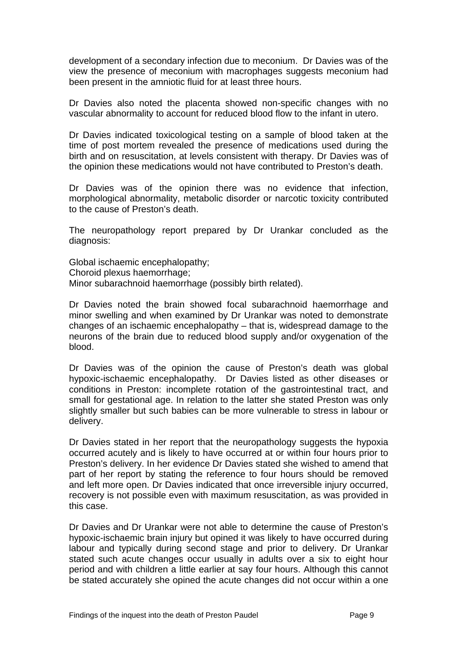development of a secondary infection due to meconium. Dr Davies was of the view the presence of meconium with macrophages suggests meconium had been present in the amniotic fluid for at least three hours.

Dr Davies also noted the placenta showed non-specific changes with no vascular abnormality to account for reduced blood flow to the infant in utero.

Dr Davies indicated toxicological testing on a sample of blood taken at the time of post mortem revealed the presence of medications used during the birth and on resuscitation, at levels consistent with therapy. Dr Davies was of the opinion these medications would not have contributed to Preston's death.

Dr Davies was of the opinion there was no evidence that infection, morphological abnormality, metabolic disorder or narcotic toxicity contributed to the cause of Preston's death.

The neuropathology report prepared by Dr Urankar concluded as the diagnosis:

Global ischaemic encephalopathy; Choroid plexus haemorrhage; Minor subarachnoid haemorrhage (possibly birth related).

Dr Davies noted the brain showed focal subarachnoid haemorrhage and minor swelling and when examined by Dr Urankar was noted to demonstrate changes of an ischaemic encephalopathy – that is, widespread damage to the neurons of the brain due to reduced blood supply and/or oxygenation of the blood.

Dr Davies was of the opinion the cause of Preston's death was global hypoxic-ischaemic encephalopathy. Dr Davies listed as other diseases or conditions in Preston: incomplete rotation of the gastrointestinal tract, and small for gestational age. In relation to the latter she stated Preston was only slightly smaller but such babies can be more vulnerable to stress in labour or delivery.

Dr Davies stated in her report that the neuropathology suggests the hypoxia occurred acutely and is likely to have occurred at or within four hours prior to Preston's delivery. In her evidence Dr Davies stated she wished to amend that part of her report by stating the reference to four hours should be removed and left more open. Dr Davies indicated that once irreversible injury occurred, recovery is not possible even with maximum resuscitation, as was provided in this case.

Dr Davies and Dr Urankar were not able to determine the cause of Preston's hypoxic-ischaemic brain injury but opined it was likely to have occurred during labour and typically during second stage and prior to delivery. Dr Urankar stated such acute changes occur usually in adults over a six to eight hour period and with children a little earlier at say four hours. Although this cannot be stated accurately she opined the acute changes did not occur within a one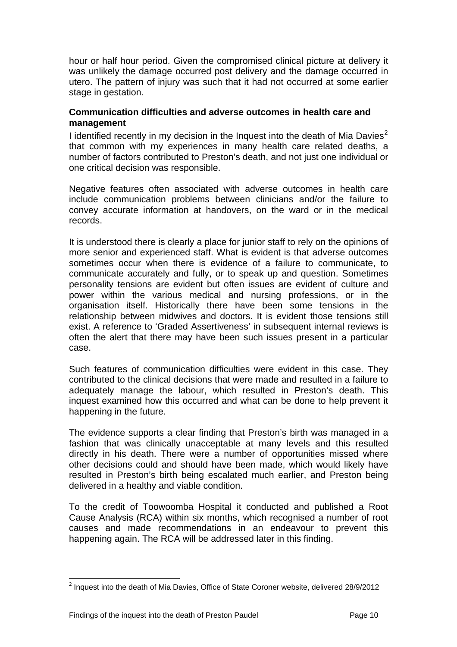<span id="page-10-0"></span>hour or half hour period. Given the compromised clinical picture at delivery it was unlikely the damage occurred post delivery and the damage occurred in utero. The pattern of injury was such that it had not occurred at some earlier stage in gestation.

## **Communication difficulties and adverse outcomes in health care and management**

I identified recently in my decision in the Inquest into the death of Mia Davies<sup>[2](#page-10-1)</sup> that common with my experiences in many health care related deaths, a number of factors contributed to Preston's death, and not just one individual or one critical decision was responsible.

Negative features often associated with adverse outcomes in health care include communication problems between clinicians and/or the failure to convey accurate information at handovers, on the ward or in the medical records.

It is understood there is clearly a place for junior staff to rely on the opinions of more senior and experienced staff. What is evident is that adverse outcomes sometimes occur when there is evidence of a failure to communicate, to communicate accurately and fully, or to speak up and question. Sometimes personality tensions are evident but often issues are evident of culture and power within the various medical and nursing professions, or in the organisation itself. Historically there have been some tensions in the relationship between midwives and doctors. It is evident those tensions still exist. A reference to 'Graded Assertiveness' in subsequent internal reviews is often the alert that there may have been such issues present in a particular case.

Such features of communication difficulties were evident in this case. They contributed to the clinical decisions that were made and resulted in a failure to adequately manage the labour, which resulted in Preston's death. This inquest examined how this occurred and what can be done to help prevent it happening in the future.

The evidence supports a clear finding that Preston's birth was managed in a fashion that was clinically unacceptable at many levels and this resulted directly in his death. There were a number of opportunities missed where other decisions could and should have been made, which would likely have resulted in Preston's birth being escalated much earlier, and Preston being delivered in a healthy and viable condition.

To the credit of Toowoomba Hospital it conducted and published a Root Cause Analysis (RCA) within six months, which recognised a number of root causes and made recommendations in an endeavour to prevent this happening again. The RCA will be addressed later in this finding.

l

<span id="page-10-1"></span> $2$  Inquest into the death of Mia Davies, Office of State Coroner website, delivered 28/9/2012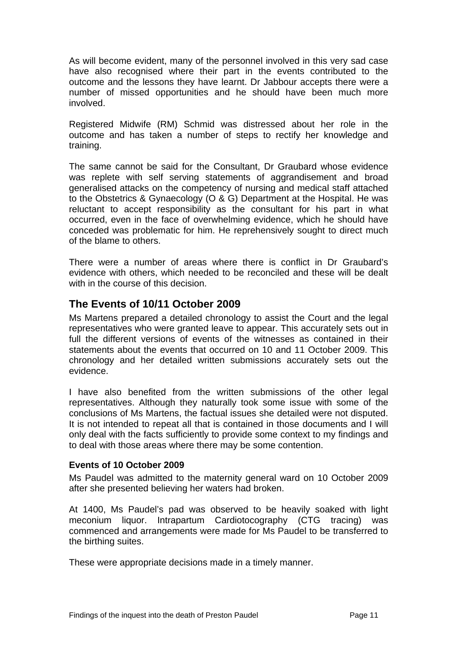<span id="page-11-0"></span>As will become evident, many of the personnel involved in this very sad case have also recognised where their part in the events contributed to the outcome and the lessons they have learnt. Dr Jabbour accepts there were a number of missed opportunities and he should have been much more involved.

Registered Midwife (RM) Schmid was distressed about her role in the outcome and has taken a number of steps to rectify her knowledge and training.

The same cannot be said for the Consultant, Dr Graubard whose evidence was replete with self serving statements of aggrandisement and broad generalised attacks on the competency of nursing and medical staff attached to the Obstetrics & Gynaecology (O & G) Department at the Hospital. He was reluctant to accept responsibility as the consultant for his part in what occurred, even in the face of overwhelming evidence, which he should have conceded was problematic for him. He reprehensively sought to direct much of the blame to others.

There were a number of areas where there is conflict in Dr Graubard's evidence with others, which needed to be reconciled and these will be dealt with in the course of this decision

## **The Events of 10/11 October 2009**

Ms Martens prepared a detailed chronology to assist the Court and the legal representatives who were granted leave to appear. This accurately sets out in full the different versions of events of the witnesses as contained in their statements about the events that occurred on 10 and 11 October 2009. This chronology and her detailed written submissions accurately sets out the evidence.

I have also benefited from the written submissions of the other legal representatives. Although they naturally took some issue with some of the conclusions of Ms Martens, the factual issues she detailed were not disputed. It is not intended to repeat all that is contained in those documents and I will only deal with the facts sufficiently to provide some context to my findings and to deal with those areas where there may be some contention.

## **Events of 10 October 2009**

Ms Paudel was admitted to the maternity general ward on 10 October 2009 after she presented believing her waters had broken.

At 1400, Ms Paudel's pad was observed to be heavily soaked with light meconium liquor. Intrapartum Cardiotocography (CTG tracing) was commenced and arrangements were made for Ms Paudel to be transferred to the birthing suites.

These were appropriate decisions made in a timely manner.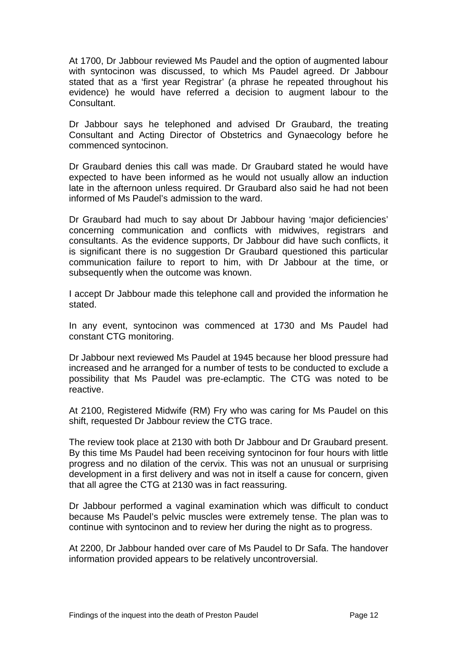At 1700, Dr Jabbour reviewed Ms Paudel and the option of augmented labour with syntocinon was discussed, to which Ms Paudel agreed. Dr Jabbour stated that as a 'first year Registrar' (a phrase he repeated throughout his evidence) he would have referred a decision to augment labour to the Consultant.

Dr Jabbour says he telephoned and advised Dr Graubard, the treating Consultant and Acting Director of Obstetrics and Gynaecology before he commenced syntocinon.

Dr Graubard denies this call was made. Dr Graubard stated he would have expected to have been informed as he would not usually allow an induction late in the afternoon unless required. Dr Graubard also said he had not been informed of Ms Paudel's admission to the ward.

Dr Graubard had much to say about Dr Jabbour having 'major deficiencies' concerning communication and conflicts with midwives, registrars and consultants. As the evidence supports, Dr Jabbour did have such conflicts, it is significant there is no suggestion Dr Graubard questioned this particular communication failure to report to him, with Dr Jabbour at the time, or subsequently when the outcome was known.

I accept Dr Jabbour made this telephone call and provided the information he stated.

In any event, syntocinon was commenced at 1730 and Ms Paudel had constant CTG monitoring.

Dr Jabbour next reviewed Ms Paudel at 1945 because her blood pressure had increased and he arranged for a number of tests to be conducted to exclude a possibility that Ms Paudel was pre-eclamptic. The CTG was noted to be reactive.

At 2100, Registered Midwife (RM) Fry who was caring for Ms Paudel on this shift, requested Dr Jabbour review the CTG trace.

The review took place at 2130 with both Dr Jabbour and Dr Graubard present. By this time Ms Paudel had been receiving syntocinon for four hours with little progress and no dilation of the cervix. This was not an unusual or surprising development in a first delivery and was not in itself a cause for concern, given that all agree the CTG at 2130 was in fact reassuring.

Dr Jabbour performed a vaginal examination which was difficult to conduct because Ms Paudel's pelvic muscles were extremely tense. The plan was to continue with syntocinon and to review her during the night as to progress.

At 2200, Dr Jabbour handed over care of Ms Paudel to Dr Safa. The handover information provided appears to be relatively uncontroversial.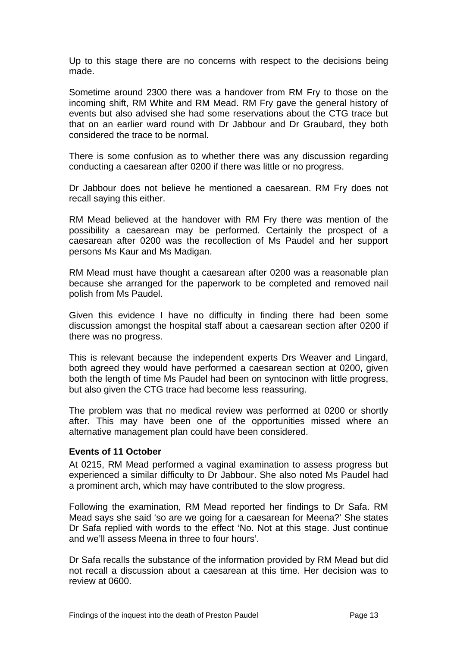<span id="page-13-0"></span>Up to this stage there are no concerns with respect to the decisions being made.

Sometime around 2300 there was a handover from RM Fry to those on the incoming shift, RM White and RM Mead. RM Fry gave the general history of events but also advised she had some reservations about the CTG trace but that on an earlier ward round with Dr Jabbour and Dr Graubard, they both considered the trace to be normal.

There is some confusion as to whether there was any discussion regarding conducting a caesarean after 0200 if there was little or no progress.

Dr Jabbour does not believe he mentioned a caesarean. RM Fry does not recall saying this either.

RM Mead believed at the handover with RM Fry there was mention of the possibility a caesarean may be performed. Certainly the prospect of a caesarean after 0200 was the recollection of Ms Paudel and her support persons Ms Kaur and Ms Madigan.

RM Mead must have thought a caesarean after 0200 was a reasonable plan because she arranged for the paperwork to be completed and removed nail polish from Ms Paudel.

Given this evidence I have no difficulty in finding there had been some discussion amongst the hospital staff about a caesarean section after 0200 if there was no progress.

This is relevant because the independent experts Drs Weaver and Lingard, both agreed they would have performed a caesarean section at 0200, given both the length of time Ms Paudel had been on syntocinon with little progress, but also given the CTG trace had become less reassuring.

The problem was that no medical review was performed at 0200 or shortly after. This may have been one of the opportunities missed where an alternative management plan could have been considered.

#### **Events of 11 October**

At 0215, RM Mead performed a vaginal examination to assess progress but experienced a similar difficulty to Dr Jabbour. She also noted Ms Paudel had a prominent arch, which may have contributed to the slow progress.

Following the examination, RM Mead reported her findings to Dr Safa. RM Mead says she said 'so are we going for a caesarean for Meena?' She states Dr Safa replied with words to the effect 'No. Not at this stage. Just continue and we'll assess Meena in three to four hours'.

Dr Safa recalls the substance of the information provided by RM Mead but did not recall a discussion about a caesarean at this time. Her decision was to review at 0600.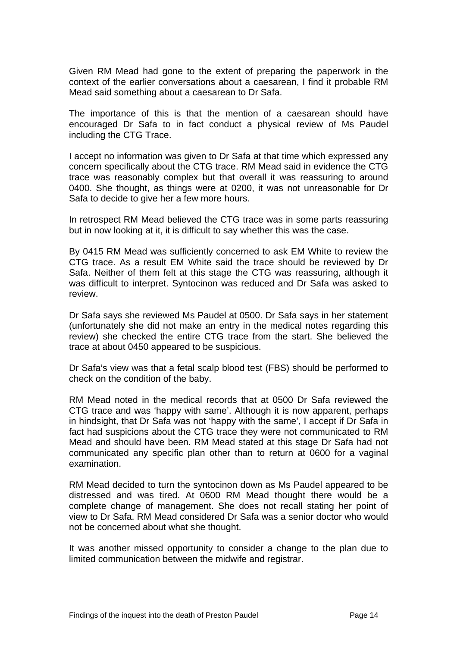Given RM Mead had gone to the extent of preparing the paperwork in the context of the earlier conversations about a caesarean, I find it probable RM Mead said something about a caesarean to Dr Safa.

The importance of this is that the mention of a caesarean should have encouraged Dr Safa to in fact conduct a physical review of Ms Paudel including the CTG Trace.

I accept no information was given to Dr Safa at that time which expressed any concern specifically about the CTG trace. RM Mead said in evidence the CTG trace was reasonably complex but that overall it was reassuring to around 0400. She thought, as things were at 0200, it was not unreasonable for Dr Safa to decide to give her a few more hours.

In retrospect RM Mead believed the CTG trace was in some parts reassuring but in now looking at it, it is difficult to say whether this was the case.

By 0415 RM Mead was sufficiently concerned to ask EM White to review the CTG trace. As a result EM White said the trace should be reviewed by Dr Safa. Neither of them felt at this stage the CTG was reassuring, although it was difficult to interpret. Syntocinon was reduced and Dr Safa was asked to review.

Dr Safa says she reviewed Ms Paudel at 0500. Dr Safa says in her statement (unfortunately she did not make an entry in the medical notes regarding this review) she checked the entire CTG trace from the start. She believed the trace at about 0450 appeared to be suspicious.

Dr Safa's view was that a fetal scalp blood test (FBS) should be performed to check on the condition of the baby.

RM Mead noted in the medical records that at 0500 Dr Safa reviewed the CTG trace and was 'happy with same'. Although it is now apparent, perhaps in hindsight, that Dr Safa was not 'happy with the same', I accept if Dr Safa in fact had suspicions about the CTG trace they were not communicated to RM Mead and should have been. RM Mead stated at this stage Dr Safa had not communicated any specific plan other than to return at 0600 for a vaginal examination.

RM Mead decided to turn the syntocinon down as Ms Paudel appeared to be distressed and was tired. At 0600 RM Mead thought there would be a complete change of management. She does not recall stating her point of view to Dr Safa. RM Mead considered Dr Safa was a senior doctor who would not be concerned about what she thought.

It was another missed opportunity to consider a change to the plan due to limited communication between the midwife and registrar.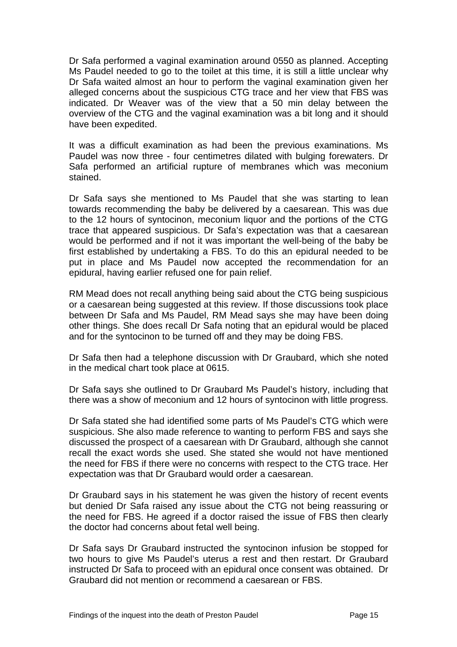Dr Safa performed a vaginal examination around 0550 as planned. Accepting Ms Paudel needed to go to the toilet at this time, it is still a little unclear why Dr Safa waited almost an hour to perform the vaginal examination given her alleged concerns about the suspicious CTG trace and her view that FBS was indicated. Dr Weaver was of the view that a 50 min delay between the overview of the CTG and the vaginal examination was a bit long and it should have been expedited.

It was a difficult examination as had been the previous examinations. Ms Paudel was now three - four centimetres dilated with bulging forewaters. Dr Safa performed an artificial rupture of membranes which was meconium stained.

Dr Safa says she mentioned to Ms Paudel that she was starting to lean towards recommending the baby be delivered by a caesarean. This was due to the 12 hours of syntocinon, meconium liquor and the portions of the CTG trace that appeared suspicious. Dr Safa's expectation was that a caesarean would be performed and if not it was important the well-being of the baby be first established by undertaking a FBS. To do this an epidural needed to be put in place and Ms Paudel now accepted the recommendation for an epidural, having earlier refused one for pain relief.

RM Mead does not recall anything being said about the CTG being suspicious or a caesarean being suggested at this review. If those discussions took place between Dr Safa and Ms Paudel, RM Mead says she may have been doing other things. She does recall Dr Safa noting that an epidural would be placed and for the syntocinon to be turned off and they may be doing FBS.

Dr Safa then had a telephone discussion with Dr Graubard, which she noted in the medical chart took place at 0615.

Dr Safa says she outlined to Dr Graubard Ms Paudel's history, including that there was a show of meconium and 12 hours of syntocinon with little progress.

Dr Safa stated she had identified some parts of Ms Paudel's CTG which were suspicious. She also made reference to wanting to perform FBS and says she discussed the prospect of a caesarean with Dr Graubard, although she cannot recall the exact words she used. She stated she would not have mentioned the need for FBS if there were no concerns with respect to the CTG trace. Her expectation was that Dr Graubard would order a caesarean.

Dr Graubard says in his statement he was given the history of recent events but denied Dr Safa raised any issue about the CTG not being reassuring or the need for FBS. He agreed if a doctor raised the issue of FBS then clearly the doctor had concerns about fetal well being.

Dr Safa says Dr Graubard instructed the syntocinon infusion be stopped for two hours to give Ms Paudel's uterus a rest and then restart. Dr Graubard instructed Dr Safa to proceed with an epidural once consent was obtained. Dr Graubard did not mention or recommend a caesarean or FBS.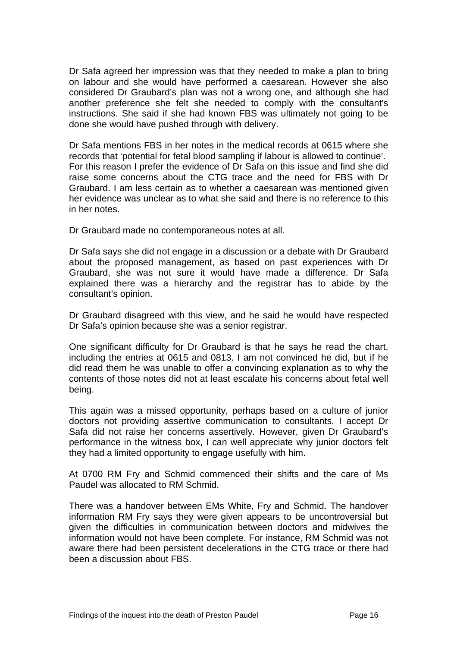Dr Safa agreed her impression was that they needed to make a plan to bring on labour and she would have performed a caesarean. However she also considered Dr Graubard's plan was not a wrong one, and although she had another preference she felt she needed to comply with the consultant's instructions. She said if she had known FBS was ultimately not going to be done she would have pushed through with delivery.

Dr Safa mentions FBS in her notes in the medical records at 0615 where she records that 'potential for fetal blood sampling if labour is allowed to continue'. For this reason I prefer the evidence of Dr Safa on this issue and find she did raise some concerns about the CTG trace and the need for FBS with Dr Graubard. I am less certain as to whether a caesarean was mentioned given her evidence was unclear as to what she said and there is no reference to this in her notes.

Dr Graubard made no contemporaneous notes at all.

Dr Safa says she did not engage in a discussion or a debate with Dr Graubard about the proposed management, as based on past experiences with Dr Graubard, she was not sure it would have made a difference. Dr Safa explained there was a hierarchy and the registrar has to abide by the consultant's opinion.

Dr Graubard disagreed with this view, and he said he would have respected Dr Safa's opinion because she was a senior registrar.

One significant difficulty for Dr Graubard is that he says he read the chart, including the entries at 0615 and 0813. I am not convinced he did, but if he did read them he was unable to offer a convincing explanation as to why the contents of those notes did not at least escalate his concerns about fetal well being.

This again was a missed opportunity, perhaps based on a culture of junior doctors not providing assertive communication to consultants. I accept Dr Safa did not raise her concerns assertively. However, given Dr Graubard's performance in the witness box, I can well appreciate why junior doctors felt they had a limited opportunity to engage usefully with him.

At 0700 RM Fry and Schmid commenced their shifts and the care of Ms Paudel was allocated to RM Schmid.

There was a handover between EMs White, Fry and Schmid. The handover information RM Fry says they were given appears to be uncontroversial but given the difficulties in communication between doctors and midwives the information would not have been complete. For instance, RM Schmid was not aware there had been persistent decelerations in the CTG trace or there had been a discussion about FBS.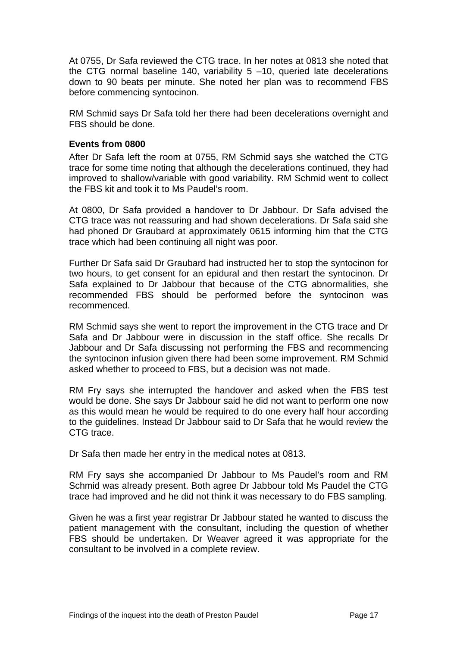<span id="page-17-0"></span>At 0755, Dr Safa reviewed the CTG trace. In her notes at 0813 she noted that the CTG normal baseline 140, variability  $5 -10$ , queried late decelerations down to 90 beats per minute. She noted her plan was to recommend FBS before commencing syntocinon.

RM Schmid says Dr Safa told her there had been decelerations overnight and FBS should be done.

## **Events from 0800**

After Dr Safa left the room at 0755, RM Schmid says she watched the CTG trace for some time noting that although the decelerations continued, they had improved to shallow/variable with good variability. RM Schmid went to collect the FBS kit and took it to Ms Paudel's room.

At 0800, Dr Safa provided a handover to Dr Jabbour. Dr Safa advised the CTG trace was not reassuring and had shown decelerations. Dr Safa said she had phoned Dr Graubard at approximately 0615 informing him that the CTG trace which had been continuing all night was poor.

Further Dr Safa said Dr Graubard had instructed her to stop the syntocinon for two hours, to get consent for an epidural and then restart the syntocinon. Dr Safa explained to Dr Jabbour that because of the CTG abnormalities, she recommended FBS should be performed before the syntocinon was recommenced.

RM Schmid says she went to report the improvement in the CTG trace and Dr Safa and Dr Jabbour were in discussion in the staff office. She recalls Dr Jabbour and Dr Safa discussing not performing the FBS and recommencing the syntocinon infusion given there had been some improvement. RM Schmid asked whether to proceed to FBS, but a decision was not made.

RM Fry says she interrupted the handover and asked when the FBS test would be done. She says Dr Jabbour said he did not want to perform one now as this would mean he would be required to do one every half hour according to the guidelines. Instead Dr Jabbour said to Dr Safa that he would review the CTG trace.

Dr Safa then made her entry in the medical notes at 0813.

RM Fry says she accompanied Dr Jabbour to Ms Paudel's room and RM Schmid was already present. Both agree Dr Jabbour told Ms Paudel the CTG trace had improved and he did not think it was necessary to do FBS sampling.

Given he was a first year registrar Dr Jabbour stated he wanted to discuss the patient management with the consultant, including the question of whether FBS should be undertaken. Dr Weaver agreed it was appropriate for the consultant to be involved in a complete review.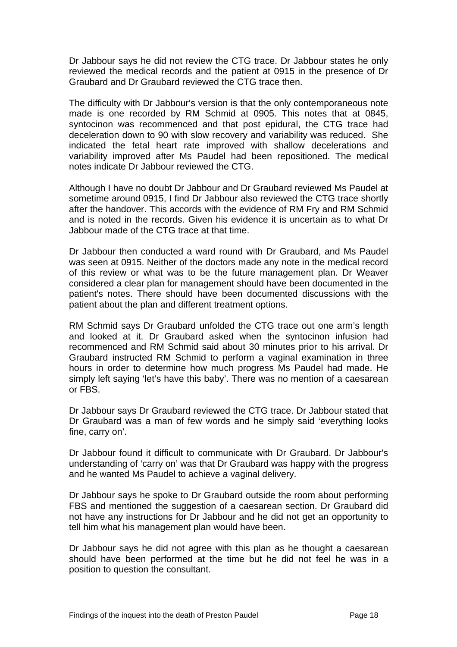Dr Jabbour says he did not review the CTG trace. Dr Jabbour states he only reviewed the medical records and the patient at 0915 in the presence of Dr Graubard and Dr Graubard reviewed the CTG trace then.

The difficulty with Dr Jabbour's version is that the only contemporaneous note made is one recorded by RM Schmid at 0905. This notes that at 0845, syntocinon was recommenced and that post epidural, the CTG trace had deceleration down to 90 with slow recovery and variability was reduced. She indicated the fetal heart rate improved with shallow decelerations and variability improved after Ms Paudel had been repositioned. The medical notes indicate Dr Jabbour reviewed the CTG.

Although I have no doubt Dr Jabbour and Dr Graubard reviewed Ms Paudel at sometime around 0915, I find Dr Jabbour also reviewed the CTG trace shortly after the handover. This accords with the evidence of RM Fry and RM Schmid and is noted in the records. Given his evidence it is uncertain as to what Dr Jabbour made of the CTG trace at that time.

Dr Jabbour then conducted a ward round with Dr Graubard, and Ms Paudel was seen at 0915. Neither of the doctors made any note in the medical record of this review or what was to be the future management plan. Dr Weaver considered a clear plan for management should have been documented in the patient's notes. There should have been documented discussions with the patient about the plan and different treatment options.

RM Schmid says Dr Graubard unfolded the CTG trace out one arm's length and looked at it. Dr Graubard asked when the syntocinon infusion had recommenced and RM Schmid said about 30 minutes prior to his arrival. Dr Graubard instructed RM Schmid to perform a vaginal examination in three hours in order to determine how much progress Ms Paudel had made. He simply left saying 'let's have this baby'. There was no mention of a caesarean or FBS.

Dr Jabbour says Dr Graubard reviewed the CTG trace. Dr Jabbour stated that Dr Graubard was a man of few words and he simply said 'everything looks fine, carry on'.

Dr Jabbour found it difficult to communicate with Dr Graubard. Dr Jabbour's understanding of 'carry on' was that Dr Graubard was happy with the progress and he wanted Ms Paudel to achieve a vaginal delivery.

Dr Jabbour says he spoke to Dr Graubard outside the room about performing FBS and mentioned the suggestion of a caesarean section. Dr Graubard did not have any instructions for Dr Jabbour and he did not get an opportunity to tell him what his management plan would have been.

Dr Jabbour says he did not agree with this plan as he thought a caesarean should have been performed at the time but he did not feel he was in a position to question the consultant.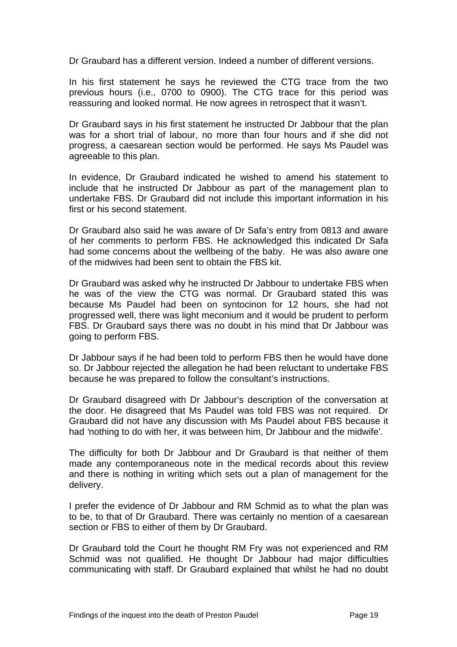Dr Graubard has a different version. Indeed a number of different versions.

In his first statement he says he reviewed the CTG trace from the two previous hours (i.e., 0700 to 0900). The CTG trace for this period was reassuring and looked normal. He now agrees in retrospect that it wasn't.

Dr Graubard says in his first statement he instructed Dr Jabbour that the plan was for a short trial of labour, no more than four hours and if she did not progress, a caesarean section would be performed. He says Ms Paudel was agreeable to this plan.

In evidence, Dr Graubard indicated he wished to amend his statement to include that he instructed Dr Jabbour as part of the management plan to undertake FBS. Dr Graubard did not include this important information in his first or his second statement.

Dr Graubard also said he was aware of Dr Safa's entry from 0813 and aware of her comments to perform FBS. He acknowledged this indicated Dr Safa had some concerns about the wellbeing of the baby. He was also aware one of the midwives had been sent to obtain the FBS kit.

Dr Graubard was asked why he instructed Dr Jabbour to undertake FBS when he was of the view the CTG was normal. Dr Graubard stated this was because Ms Paudel had been on syntocinon for 12 hours, she had not progressed well, there was light meconium and it would be prudent to perform FBS. Dr Graubard says there was no doubt in his mind that Dr Jabbour was going to perform FBS.

Dr Jabbour says if he had been told to perform FBS then he would have done so. Dr Jabbour rejected the allegation he had been reluctant to undertake FBS because he was prepared to follow the consultant's instructions.

Dr Graubard disagreed with Dr Jabbour's description of the conversation at the door. He disagreed that Ms Paudel was told FBS was not required. Dr Graubard did not have any discussion with Ms Paudel about FBS because it had *'*nothing to do with her, it was between him, Dr Jabbour and the midwife'*.* 

The difficulty for both Dr Jabbour and Dr Graubard is that neither of them made any contemporaneous note in the medical records about this review and there is nothing in writing which sets out a plan of management for the delivery.

I prefer the evidence of Dr Jabbour and RM Schmid as to what the plan was to be, to that of Dr Graubard. There was certainly no mention of a caesarean section or FBS to either of them by Dr Graubard.

Dr Graubard told the Court he thought RM Fry was not experienced and RM Schmid was not qualified. He thought Dr Jabbour had major difficulties communicating with staff. Dr Graubard explained that whilst he had no doubt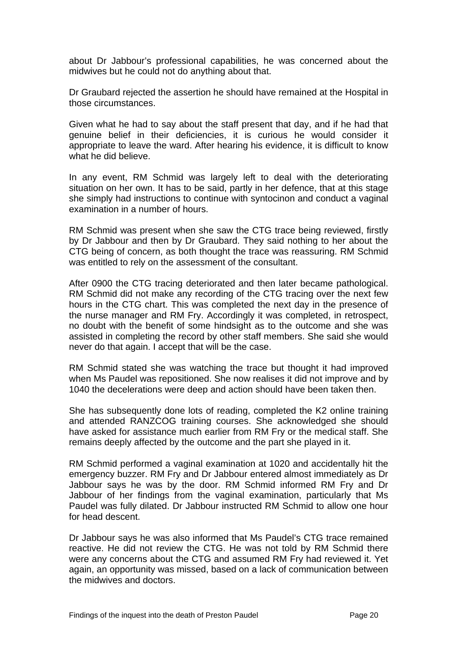about Dr Jabbour's professional capabilities, he was concerned about the midwives but he could not do anything about that.

Dr Graubard rejected the assertion he should have remained at the Hospital in those circumstances.

Given what he had to say about the staff present that day, and if he had that genuine belief in their deficiencies, it is curious he would consider it appropriate to leave the ward. After hearing his evidence, it is difficult to know what he did believe.

In any event, RM Schmid was largely left to deal with the deteriorating situation on her own. It has to be said, partly in her defence, that at this stage she simply had instructions to continue with syntocinon and conduct a vaginal examination in a number of hours.

RM Schmid was present when she saw the CTG trace being reviewed, firstly by Dr Jabbour and then by Dr Graubard. They said nothing to her about the CTG being of concern, as both thought the trace was reassuring. RM Schmid was entitled to rely on the assessment of the consultant.

After 0900 the CTG tracing deteriorated and then later became pathological. RM Schmid did not make any recording of the CTG tracing over the next few hours in the CTG chart. This was completed the next day in the presence of the nurse manager and RM Fry. Accordingly it was completed, in retrospect, no doubt with the benefit of some hindsight as to the outcome and she was assisted in completing the record by other staff members. She said she would never do that again. I accept that will be the case.

RM Schmid stated she was watching the trace but thought it had improved when Ms Paudel was repositioned. She now realises it did not improve and by 1040 the decelerations were deep and action should have been taken then.

She has subsequently done lots of reading, completed the K2 online training and attended RANZCOG training courses. She acknowledged she should have asked for assistance much earlier from RM Fry or the medical staff. She remains deeply affected by the outcome and the part she played in it.

RM Schmid performed a vaginal examination at 1020 and accidentally hit the emergency buzzer. RM Fry and Dr Jabbour entered almost immediately as Dr Jabbour says he was by the door. RM Schmid informed RM Fry and Dr Jabbour of her findings from the vaginal examination, particularly that Ms Paudel was fully dilated. Dr Jabbour instructed RM Schmid to allow one hour for head descent.

Dr Jabbour says he was also informed that Ms Paudel's CTG trace remained reactive. He did not review the CTG. He was not told by RM Schmid there were any concerns about the CTG and assumed RM Fry had reviewed it. Yet again, an opportunity was missed, based on a lack of communication between the midwives and doctors.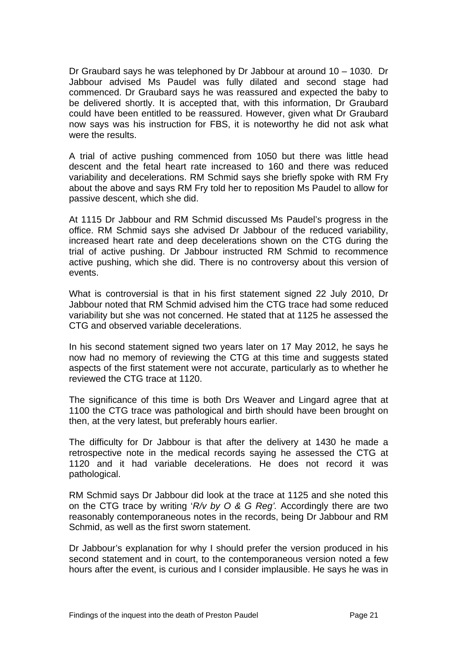Dr Graubard says he was telephoned by Dr Jabbour at around 10 – 1030. Dr Jabbour advised Ms Paudel was fully dilated and second stage had commenced. Dr Graubard says he was reassured and expected the baby to be delivered shortly. It is accepted that, with this information, Dr Graubard could have been entitled to be reassured. However, given what Dr Graubard now says was his instruction for FBS, it is noteworthy he did not ask what were the results.

A trial of active pushing commenced from 1050 but there was little head descent and the fetal heart rate increased to 160 and there was reduced variability and decelerations. RM Schmid says she briefly spoke with RM Fry about the above and says RM Fry told her to reposition Ms Paudel to allow for passive descent, which she did.

At 1115 Dr Jabbour and RM Schmid discussed Ms Paudel's progress in the office. RM Schmid says she advised Dr Jabbour of the reduced variability, increased heart rate and deep decelerations shown on the CTG during the trial of active pushing. Dr Jabbour instructed RM Schmid to recommence active pushing, which she did. There is no controversy about this version of events.

What is controversial is that in his first statement signed 22 July 2010, Dr Jabbour noted that RM Schmid advised him the CTG trace had some reduced variability but she was not concerned. He stated that at 1125 he assessed the CTG and observed variable decelerations.

In his second statement signed two years later on 17 May 2012, he says he now had no memory of reviewing the CTG at this time and suggests stated aspects of the first statement were not accurate, particularly as to whether he reviewed the CTG trace at 1120.

The significance of this time is both Drs Weaver and Lingard agree that at 1100 the CTG trace was pathological and birth should have been brought on then, at the very latest, but preferably hours earlier.

The difficulty for Dr Jabbour is that after the delivery at 1430 he made a retrospective note in the medical records saying he assessed the CTG at 1120 and it had variable decelerations. He does not record it was pathological.

RM Schmid says Dr Jabbour did look at the trace at 1125 and she noted this on the CTG trace by writing '*R/v by O & G Reg'.* Accordingly there are two reasonably contemporaneous notes in the records, being Dr Jabbour and RM Schmid, as well as the first sworn statement.

Dr Jabbour's explanation for why I should prefer the version produced in his second statement and in court, to the contemporaneous version noted a few hours after the event, is curious and I consider implausible. He says he was in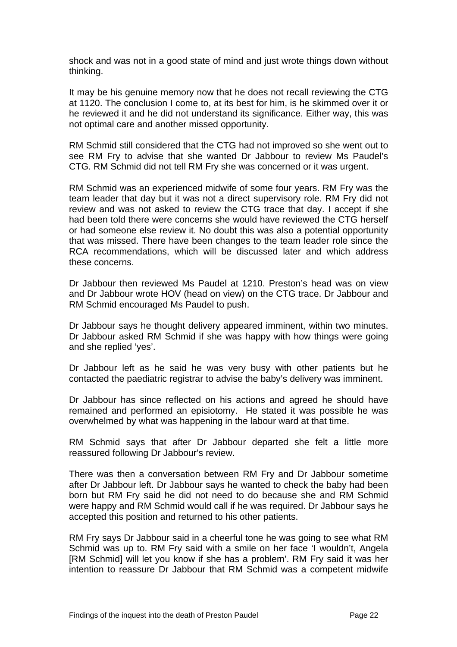shock and was not in a good state of mind and just wrote things down without thinking.

It may be his genuine memory now that he does not recall reviewing the CTG at 1120. The conclusion I come to, at its best for him, is he skimmed over it or he reviewed it and he did not understand its significance. Either way, this was not optimal care and another missed opportunity.

RM Schmid still considered that the CTG had not improved so she went out to see RM Fry to advise that she wanted Dr Jabbour to review Ms Paudel's CTG. RM Schmid did not tell RM Fry she was concerned or it was urgent.

RM Schmid was an experienced midwife of some four years. RM Fry was the team leader that day but it was not a direct supervisory role. RM Fry did not review and was not asked to review the CTG trace that day. I accept if she had been told there were concerns she would have reviewed the CTG herself or had someone else review it. No doubt this was also a potential opportunity that was missed. There have been changes to the team leader role since the RCA recommendations, which will be discussed later and which address these concerns.

Dr Jabbour then reviewed Ms Paudel at 1210. Preston's head was on view and Dr Jabbour wrote HOV (head on view) on the CTG trace. Dr Jabbour and RM Schmid encouraged Ms Paudel to push.

Dr Jabbour says he thought delivery appeared imminent, within two minutes. Dr Jabbour asked RM Schmid if she was happy with how things were going and she replied 'yes'.

Dr Jabbour left as he said he was very busy with other patients but he contacted the paediatric registrar to advise the baby's delivery was imminent.

Dr Jabbour has since reflected on his actions and agreed he should have remained and performed an episiotomy. He stated it was possible he was overwhelmed by what was happening in the labour ward at that time.

RM Schmid says that after Dr Jabbour departed she felt a little more reassured following Dr Jabbour's review.

There was then a conversation between RM Fry and Dr Jabbour sometime after Dr Jabbour left. Dr Jabbour says he wanted to check the baby had been born but RM Fry said he did not need to do because she and RM Schmid were happy and RM Schmid would call if he was required. Dr Jabbour says he accepted this position and returned to his other patients.

RM Fry says Dr Jabbour said in a cheerful tone he was going to see what RM Schmid was up to. RM Fry said with a smile on her face 'I wouldn't, Angela [RM Schmid] will let you know if she has a problem'. RM Fry said it was her intention to reassure Dr Jabbour that RM Schmid was a competent midwife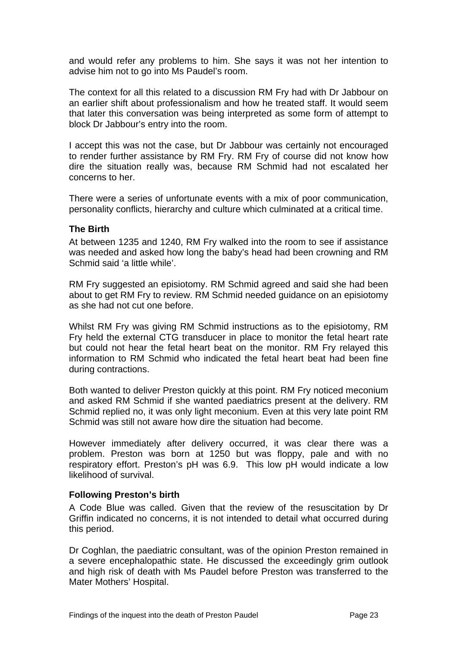<span id="page-23-0"></span>and would refer any problems to him. She says it was not her intention to advise him not to go into Ms Paudel's room.

The context for all this related to a discussion RM Fry had with Dr Jabbour on an earlier shift about professionalism and how he treated staff. It would seem that later this conversation was being interpreted as some form of attempt to block Dr Jabbour's entry into the room.

I accept this was not the case, but Dr Jabbour was certainly not encouraged to render further assistance by RM Fry. RM Fry of course did not know how dire the situation really was, because RM Schmid had not escalated her concerns to her.

There were a series of unfortunate events with a mix of poor communication, personality conflicts, hierarchy and culture which culminated at a critical time.

### **The Birth**

At between 1235 and 1240, RM Fry walked into the room to see if assistance was needed and asked how long the baby's head had been crowning and RM Schmid said 'a little while'.

RM Fry suggested an episiotomy. RM Schmid agreed and said she had been about to get RM Fry to review. RM Schmid needed guidance on an episiotomy as she had not cut one before.

Whilst RM Fry was giving RM Schmid instructions as to the episiotomy, RM Fry held the external CTG transducer in place to monitor the fetal heart rate but could not hear the fetal heart beat on the monitor. RM Fry relayed this information to RM Schmid who indicated the fetal heart beat had been fine during contractions.

Both wanted to deliver Preston quickly at this point. RM Fry noticed meconium and asked RM Schmid if she wanted paediatrics present at the delivery. RM Schmid replied no, it was only light meconium. Even at this very late point RM Schmid was still not aware how dire the situation had become.

However immediately after delivery occurred, it was clear there was a problem. Preston was born at 1250 but was floppy, pale and with no respiratory effort. Preston's pH was 6.9. This low pH would indicate a low likelihood of survival.

## **Following Preston's birth**

A Code Blue was called. Given that the review of the resuscitation by Dr Griffin indicated no concerns, it is not intended to detail what occurred during this period.

Dr Coghlan, the paediatric consultant, was of the opinion Preston remained in a severe encephalopathic state. He discussed the exceedingly grim outlook and high risk of death with Ms Paudel before Preston was transferred to the Mater Mothers' Hospital.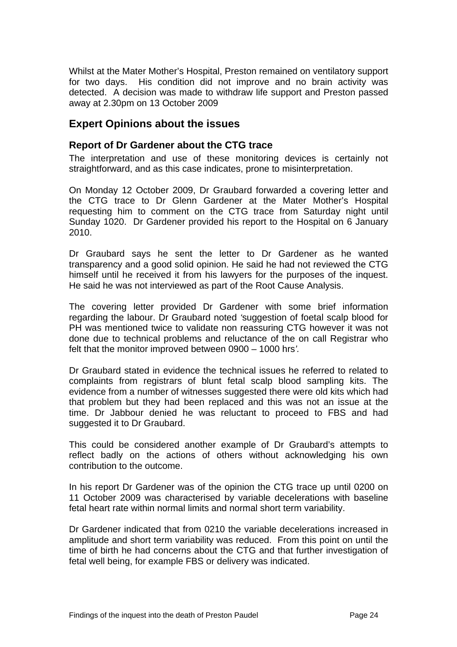<span id="page-24-0"></span>Whilst at the Mater Mother's Hospital, Preston remained on ventilatory support for two days. His condition did not improve and no brain activity was detected. A decision was made to withdraw life support and Preston passed away at 2.30pm on 13 October 2009

## **Expert Opinions about the issues**

## **Report of Dr Gardener about the CTG trace**

The interpretation and use of these monitoring devices is certainly not straightforward, and as this case indicates, prone to misinterpretation.

On Monday 12 October 2009, Dr Graubard forwarded a covering letter and the CTG trace to Dr Glenn Gardener at the Mater Mother's Hospital requesting him to comment on the CTG trace from Saturday night until Sunday 1020. Dr Gardener provided his report to the Hospital on 6 January 2010.

Dr Graubard says he sent the letter to Dr Gardener as he wanted transparency and a good solid opinion. He said he had not reviewed the CTG himself until he received it from his lawyers for the purposes of the inquest. He said he was not interviewed as part of the Root Cause Analysis.

The covering letter provided Dr Gardener with some brief information regarding the labour. Dr Graubard noted *'*suggestion of foetal scalp blood for PH was mentioned twice to validate non reassuring CTG however it was not done due to technical problems and reluctance of the on call Registrar who felt that the monitor improved between 0900 – 1000 hrs*'.*

Dr Graubard stated in evidence the technical issues he referred to related to complaints from registrars of blunt fetal scalp blood sampling kits. The evidence from a number of witnesses suggested there were old kits which had that problem but they had been replaced and this was not an issue at the time. Dr Jabbour denied he was reluctant to proceed to FBS and had suggested it to Dr Graubard.

This could be considered another example of Dr Graubard's attempts to reflect badly on the actions of others without acknowledging his own contribution to the outcome.

In his report Dr Gardener was of the opinion the CTG trace up until 0200 on 11 October 2009 was characterised by variable decelerations with baseline fetal heart rate within normal limits and normal short term variability.

Dr Gardener indicated that from 0210 the variable decelerations increased in amplitude and short term variability was reduced. From this point on until the time of birth he had concerns about the CTG and that further investigation of fetal well being, for example FBS or delivery was indicated.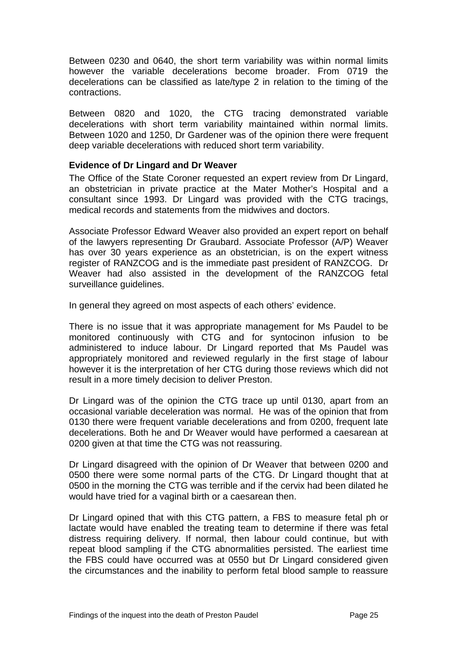<span id="page-25-0"></span>Between 0230 and 0640, the short term variability was within normal limits however the variable decelerations become broader. From 0719 the decelerations can be classified as late/type 2 in relation to the timing of the contractions.

Between 0820 and 1020, the CTG tracing demonstrated variable decelerations with short term variability maintained within normal limits. Between 1020 and 1250, Dr Gardener was of the opinion there were frequent deep variable decelerations with reduced short term variability.

## **Evidence of Dr Lingard and Dr Weaver**

The Office of the State Coroner requested an expert review from Dr Lingard, an obstetrician in private practice at the Mater Mother's Hospital and a consultant since 1993. Dr Lingard was provided with the CTG tracings, medical records and statements from the midwives and doctors.

Associate Professor Edward Weaver also provided an expert report on behalf of the lawyers representing Dr Graubard. Associate Professor (A/P) Weaver has over 30 years experience as an obstetrician, is on the expert witness register of RANZCOG and is the immediate past president of RANZCOG. Dr Weaver had also assisted in the development of the RANZCOG fetal surveillance guidelines.

In general they agreed on most aspects of each others' evidence.

There is no issue that it was appropriate management for Ms Paudel to be monitored continuously with CTG and for syntocinon infusion to be administered to induce labour. Dr Lingard reported that Ms Paudel was appropriately monitored and reviewed regularly in the first stage of labour however it is the interpretation of her CTG during those reviews which did not result in a more timely decision to deliver Preston.

Dr Lingard was of the opinion the CTG trace up until 0130, apart from an occasional variable deceleration was normal. He was of the opinion that from 0130 there were frequent variable decelerations and from 0200, frequent late decelerations. Both he and Dr Weaver would have performed a caesarean at 0200 given at that time the CTG was not reassuring.

Dr Lingard disagreed with the opinion of Dr Weaver that between 0200 and 0500 there were some normal parts of the CTG. Dr Lingard thought that at 0500 in the morning the CTG was terrible and if the cervix had been dilated he would have tried for a vaginal birth or a caesarean then.

Dr Lingard opined that with this CTG pattern, a FBS to measure fetal ph or lactate would have enabled the treating team to determine if there was fetal distress requiring delivery. If normal, then labour could continue, but with repeat blood sampling if the CTG abnormalities persisted. The earliest time the FBS could have occurred was at 0550 but Dr Lingard considered given the circumstances and the inability to perform fetal blood sample to reassure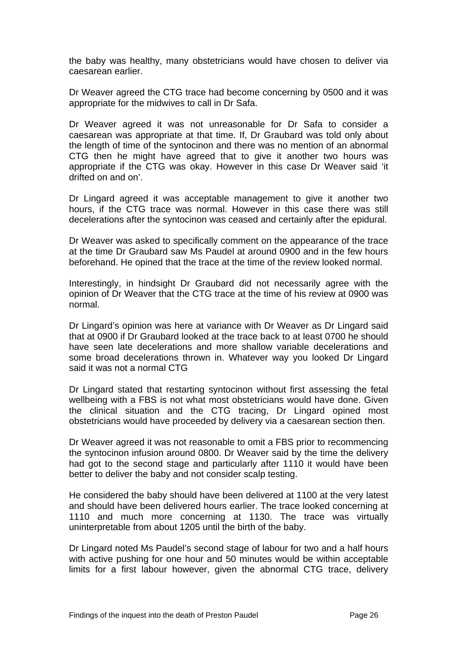the baby was healthy, many obstetricians would have chosen to deliver via caesarean earlier.

Dr Weaver agreed the CTG trace had become concerning by 0500 and it was appropriate for the midwives to call in Dr Safa.

Dr Weaver agreed it was not unreasonable for Dr Safa to consider a caesarean was appropriate at that time. If, Dr Graubard was told only about the length of time of the syntocinon and there was no mention of an abnormal CTG then he might have agreed that to give it another two hours was appropriate if the CTG was okay. However in this case Dr Weaver said 'it drifted on and on'.

Dr Lingard agreed it was acceptable management to give it another two hours, if the CTG trace was normal. However in this case there was still decelerations after the syntocinon was ceased and certainly after the epidural.

Dr Weaver was asked to specifically comment on the appearance of the trace at the time Dr Graubard saw Ms Paudel at around 0900 and in the few hours beforehand. He opined that the trace at the time of the review looked normal.

Interestingly, in hindsight Dr Graubard did not necessarily agree with the opinion of Dr Weaver that the CTG trace at the time of his review at 0900 was normal.

Dr Lingard's opinion was here at variance with Dr Weaver as Dr Lingard said that at 0900 if Dr Graubard looked at the trace back to at least 0700 he should have seen late decelerations and more shallow variable decelerations and some broad decelerations thrown in. Whatever way you looked Dr Lingard said it was not a normal CTG

Dr Lingard stated that restarting syntocinon without first assessing the fetal wellbeing with a FBS is not what most obstetricians would have done. Given the clinical situation and the CTG tracing, Dr Lingard opined most obstetricians would have proceeded by delivery via a caesarean section then.

Dr Weaver agreed it was not reasonable to omit a FBS prior to recommencing the syntocinon infusion around 0800. Dr Weaver said by the time the delivery had got to the second stage and particularly after 1110 it would have been better to deliver the baby and not consider scalp testing.

He considered the baby should have been delivered at 1100 at the very latest and should have been delivered hours earlier. The trace looked concerning at 1110 and much more concerning at 1130. The trace was virtually uninterpretable from about 1205 until the birth of the baby.

Dr Lingard noted Ms Paudel's second stage of labour for two and a half hours with active pushing for one hour and 50 minutes would be within acceptable limits for a first labour however, given the abnormal CTG trace, delivery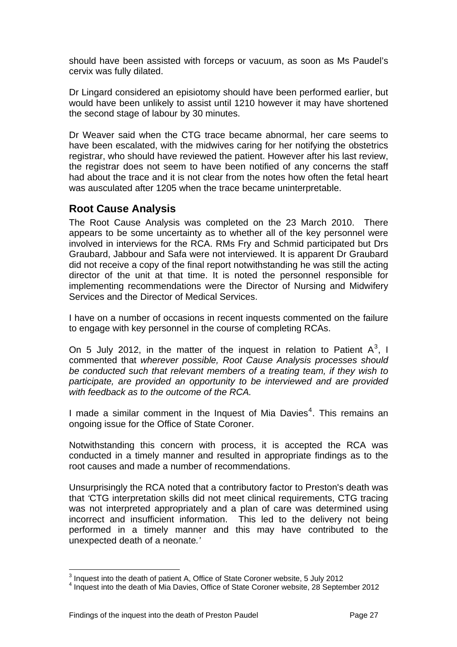<span id="page-27-0"></span>should have been assisted with forceps or vacuum, as soon as Ms Paudel's cervix was fully dilated.

Dr Lingard considered an episiotomy should have been performed earlier, but would have been unlikely to assist until 1210 however it may have shortened the second stage of labour by 30 minutes.

Dr Weaver said when the CTG trace became abnormal, her care seems to have been escalated, with the midwives caring for her notifying the obstetrics registrar, who should have reviewed the patient. However after his last review, the registrar does not seem to have been notified of any concerns the staff had about the trace and it is not clear from the notes how often the fetal heart was ausculated after 1205 when the trace became uninterpretable.

## **Root Cause Analysis**

The Root Cause Analysis was completed on the 23 March 2010. There appears to be some uncertainty as to whether all of the key personnel were involved in interviews for the RCA. RMs Fry and Schmid participated but Drs Graubard, Jabbour and Safa were not interviewed. It is apparent Dr Graubard did not receive a copy of the final report notwithstanding he was still the acting director of the unit at that time. It is noted the personnel responsible for implementing recommendations were the Director of Nursing and Midwifery Services and the Director of Medical Services.

I have on a number of occasions in recent inquests commented on the failure to engage with key personnel in the course of completing RCAs.

On 5 July 2012, in the matter of the inquest in relation to Patient  $A^3$  $A^3$ , I commented that *wherever possible, Root Cause Analysis processes should be conducted such that relevant members of a treating team, if they wish to participate, are provided an opportunity to be interviewed and are provided with feedback as to the outcome of the RCA.* 

I made a similar comment in the Inquest of Mia Davies<sup>[4](#page-27-2)</sup>. This remains an ongoing issue for the Office of State Coroner.

Notwithstanding this concern with process, it is accepted the RCA was conducted in a timely manner and resulted in appropriate findings as to the root causes and made a number of recommendations.

Unsurprisingly the RCA noted that a contributory factor to Preston's death was that *'*CTG interpretation skills did not meet clinical requirements, CTG tracing was not interpreted appropriately and a plan of care was determined using incorrect and insufficient information. This led to the delivery not being performed in a timely manner and this may have contributed to the unexpected death of a neonate*.'* 

l  $3$  Inquest into the death of patient A, Office of State Coroner website, 5 July 2012

<span id="page-27-2"></span><span id="page-27-1"></span> $4$  Inquest into the death of Mia Davies, Office of State Coroner website, 28 September 2012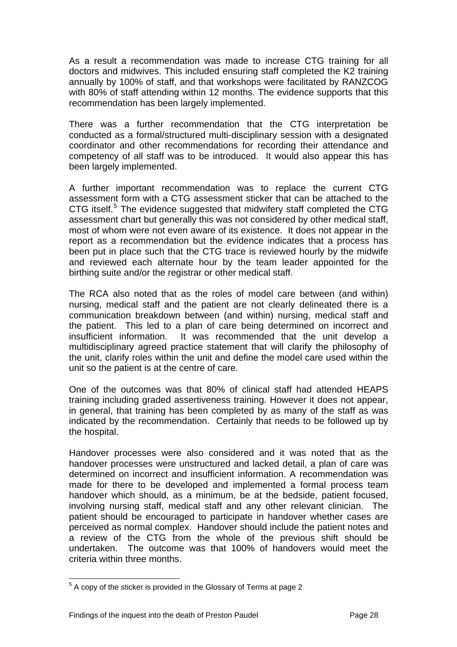As a result a recommendation was made to increase CTG training for all doctors and midwives. This included ensuring staff completed the K2 training annually by 100% of staff, and that workshops were facilitated by RANZCOG with 80% of staff attending within 12 months. The evidence supports that this recommendation has been largely implemented.

There was a further recommendation that the CTG interpretation be conducted as a formal/structured multi-disciplinary session with a designated coordinator and other recommendations for recording their attendance and competency of all staff was to be introduced. It would also appear this has been largely implemented.

A further important recommendation was to replace the current CTG assessment form with a CTG assessment sticker that can be attached to the CTG itself.<sup>[5](#page-28-0)</sup> The evidence suggested that midwifery staff completed the CTG assessment chart but generally this was not considered by other medical staff, most of whom were not even aware of its existence. It does not appear in the report as a recommendation but the evidence indicates that a process has been put in place such that the CTG trace is reviewed hourly by the midwife and reviewed each alternate hour by the team leader appointed for the birthing suite and/or the registrar or other medical staff.

The RCA also noted that as the roles of model care between (and within) nursing, medical staff and the patient are not clearly delineated there is a communication breakdown between (and within) nursing, medical staff and the patient. This led to a plan of care being determined on incorrect and insufficient information. It was recommended that the unit develop a multidisciplinary agreed practice statement that will clarify the philosophy of the unit, clarify roles within the unit and define the model care used within the unit so the patient is at the centre of care.

One of the outcomes was that 80% of clinical staff had attended HEAPS training including graded assertiveness training. However it does not appear, in general, that training has been completed by as many of the staff as was indicated by the recommendation. Certainly that needs to be followed up by the hospital.

Handover processes were also considered and it was noted that as the handover processes were unstructured and lacked detail, a plan of care was determined on incorrect and insufficient information. A recommendation was made for there to be developed and implemented a formal process team handover which should, as a minimum, be at the bedside, patient focused, involving nursing staff, medical staff and any other relevant clinician. The patient should be encouraged to participate in handover whether cases are perceived as normal complex. Handover should include the patient notes and a review of the CTG from the whole of the previous shift should be undertaken. The outcome was that 100% of handovers would meet the criteria within three months.

<span id="page-28-0"></span>l  $5$  A copy of the sticker is provided in the Glossary of Terms at page 2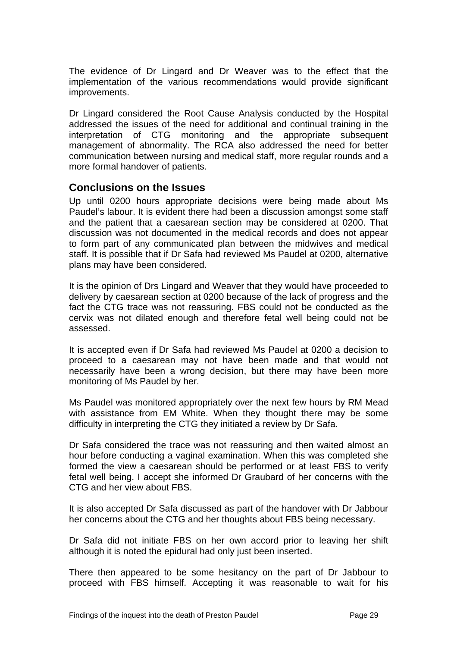<span id="page-29-0"></span>The evidence of Dr Lingard and Dr Weaver was to the effect that the implementation of the various recommendations would provide significant improvements.

Dr Lingard considered the Root Cause Analysis conducted by the Hospital addressed the issues of the need for additional and continual training in the interpretation of CTG monitoring and the appropriate subsequent management of abnormality. The RCA also addressed the need for better communication between nursing and medical staff, more regular rounds and a more formal handover of patients.

## **Conclusions on the Issues**

Up until 0200 hours appropriate decisions were being made about Ms Paudel's labour. It is evident there had been a discussion amongst some staff and the patient that a caesarean section may be considered at 0200. That discussion was not documented in the medical records and does not appear to form part of any communicated plan between the midwives and medical staff. It is possible that if Dr Safa had reviewed Ms Paudel at 0200, alternative plans may have been considered.

It is the opinion of Drs Lingard and Weaver that they would have proceeded to delivery by caesarean section at 0200 because of the lack of progress and the fact the CTG trace was not reassuring. FBS could not be conducted as the cervix was not dilated enough and therefore fetal well being could not be assessed.

It is accepted even if Dr Safa had reviewed Ms Paudel at 0200 a decision to proceed to a caesarean may not have been made and that would not necessarily have been a wrong decision, but there may have been more monitoring of Ms Paudel by her.

Ms Paudel was monitored appropriately over the next few hours by RM Mead with assistance from EM White. When they thought there may be some difficulty in interpreting the CTG they initiated a review by Dr Safa.

Dr Safa considered the trace was not reassuring and then waited almost an hour before conducting a vaginal examination. When this was completed she formed the view a caesarean should be performed or at least FBS to verify fetal well being. I accept she informed Dr Graubard of her concerns with the CTG and her view about FBS.

It is also accepted Dr Safa discussed as part of the handover with Dr Jabbour her concerns about the CTG and her thoughts about FBS being necessary.

Dr Safa did not initiate FBS on her own accord prior to leaving her shift although it is noted the epidural had only just been inserted.

There then appeared to be some hesitancy on the part of Dr Jabbour to proceed with FBS himself. Accepting it was reasonable to wait for his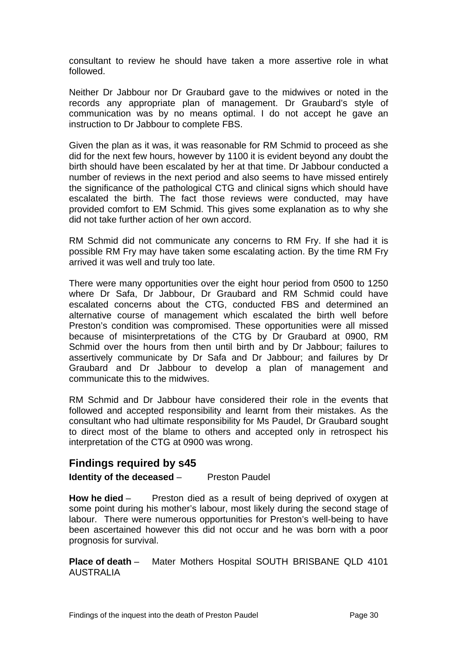<span id="page-30-0"></span>consultant to review he should have taken a more assertive role in what followed.

Neither Dr Jabbour nor Dr Graubard gave to the midwives or noted in the records any appropriate plan of management. Dr Graubard's style of communication was by no means optimal. I do not accept he gave an instruction to Dr Jabbour to complete FBS.

Given the plan as it was, it was reasonable for RM Schmid to proceed as she did for the next few hours, however by 1100 it is evident beyond any doubt the birth should have been escalated by her at that time. Dr Jabbour conducted a number of reviews in the next period and also seems to have missed entirely the significance of the pathological CTG and clinical signs which should have escalated the birth. The fact those reviews were conducted, may have provided comfort to EM Schmid. This gives some explanation as to why she did not take further action of her own accord.

RM Schmid did not communicate any concerns to RM Fry. If she had it is possible RM Fry may have taken some escalating action. By the time RM Fry arrived it was well and truly too late.

There were many opportunities over the eight hour period from 0500 to 1250 where Dr Safa, Dr Jabbour, Dr Graubard and RM Schmid could have escalated concerns about the CTG, conducted FBS and determined an alternative course of management which escalated the birth well before Preston's condition was compromised. These opportunities were all missed because of misinterpretations of the CTG by Dr Graubard at 0900, RM Schmid over the hours from then until birth and by Dr Jabbour; failures to assertively communicate by Dr Safa and Dr Jabbour; and failures by Dr Graubard and Dr Jabbour to develop a plan of management and communicate this to the midwives.

RM Schmid and Dr Jabbour have considered their role in the events that followed and accepted responsibility and learnt from their mistakes. As the consultant who had ultimate responsibility for Ms Paudel, Dr Graubard sought to direct most of the blame to others and accepted only in retrospect his interpretation of the CTG at 0900 was wrong.

## **Findings required by s45**

## **Identity of the deceased** – Preston Paudel

**How he died** – Preston died as a result of being deprived of oxygen at some point during his mother's labour, most likely during the second stage of labour. There were numerous opportunities for Preston's well-being to have been ascertained however this did not occur and he was born with a poor prognosis for survival.

**Place of death** – Mater Mothers Hospital SOUTH BRISBANE QLD 4101 AUSTRALIA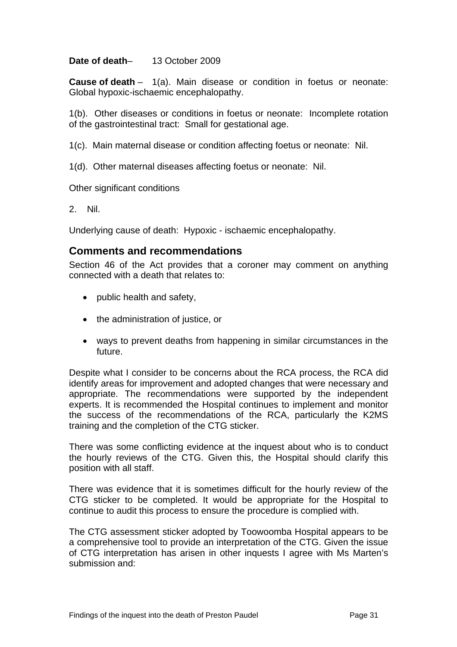## <span id="page-31-0"></span>**Date of death**– 13 October 2009

**Cause of death** – 1(a). Main disease or condition in foetus or neonate: Global hypoxic-ischaemic encephalopathy.

1(b). Other diseases or conditions in foetus or neonate: Incomplete rotation of the gastrointestinal tract: Small for gestational age.

1(c). Main maternal disease or condition affecting foetus or neonate: Nil.

1(d). Other maternal diseases affecting foetus or neonate: Nil.

Other significant conditions

2. Nil.

Underlying cause of death: Hypoxic - ischaemic encephalopathy.

## **Comments and recommendations**

Section 46 of the Act provides that a coroner may comment on anything connected with a death that relates to:

- public health and safety,
- the administration of justice, or
- ways to prevent deaths from happening in similar circumstances in the future.

Despite what I consider to be concerns about the RCA process, the RCA did identify areas for improvement and adopted changes that were necessary and appropriate. The recommendations were supported by the independent experts. It is recommended the Hospital continues to implement and monitor the success of the recommendations of the RCA, particularly the K2MS training and the completion of the CTG sticker.

There was some conflicting evidence at the inquest about who is to conduct the hourly reviews of the CTG. Given this, the Hospital should clarify this position with all staff.

There was evidence that it is sometimes difficult for the hourly review of the CTG sticker to be completed. It would be appropriate for the Hospital to continue to audit this process to ensure the procedure is complied with.

The CTG assessment sticker adopted by Toowoomba Hospital appears to be a comprehensive tool to provide an interpretation of the CTG. Given the issue of CTG interpretation has arisen in other inquests I agree with Ms Marten's submission and: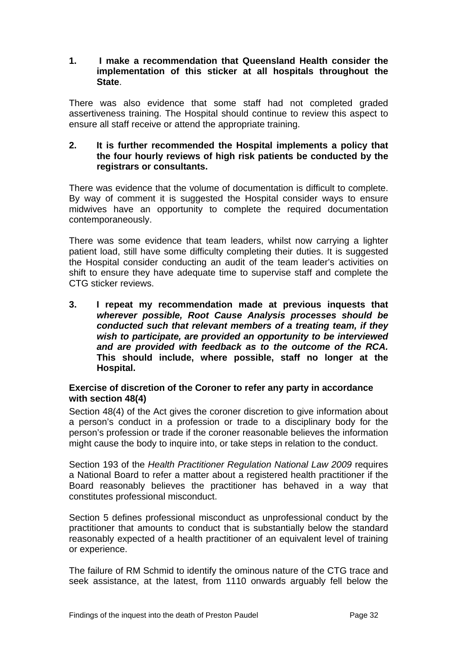## <span id="page-32-0"></span>**1. I make a recommendation that Queensland Health consider the implementation of this sticker at all hospitals throughout the State**.

There was also evidence that some staff had not completed graded assertiveness training. The Hospital should continue to review this aspect to ensure all staff receive or attend the appropriate training.

## **2. It is further recommended the Hospital implements a policy that the four hourly reviews of high risk patients be conducted by the registrars or consultants.**

There was evidence that the volume of documentation is difficult to complete. By way of comment it is suggested the Hospital consider ways to ensure midwives have an opportunity to complete the required documentation contemporaneously.

There was some evidence that team leaders, whilst now carrying a lighter patient load, still have some difficulty completing their duties. It is suggested the Hospital consider conducting an audit of the team leader's activities on shift to ensure they have adequate time to supervise staff and complete the CTG sticker reviews.

**3. I repeat my recommendation made at previous inquests that** *wherever possible, Root Cause Analysis processes should be conducted such that relevant members of a treating team, if they wish to participate, are provided an opportunity to be interviewed and are provided with feedback as to the outcome of the RCA.* **This should include, where possible, staff no longer at the Hospital.** 

## **Exercise of discretion of the Coroner to refer any party in accordance with section 48(4)**

Section 48(4) of the Act gives the coroner discretion to give information about a person's conduct in a profession or trade to a disciplinary body for the person's profession or trade if the coroner reasonable believes the information might cause the body to inquire into, or take steps in relation to the conduct.

Section 193 of the *Health Practitioner Regulation National Law 2009* requires a National Board to refer a matter about a registered health practitioner if the Board reasonably believes the practitioner has behaved in a way that constitutes professional misconduct.

Section 5 defines professional misconduct as unprofessional conduct by the practitioner that amounts to conduct that is substantially below the standard reasonably expected of a health practitioner of an equivalent level of training or experience.

The failure of RM Schmid to identify the ominous nature of the CTG trace and seek assistance, at the latest, from 1110 onwards arguably fell below the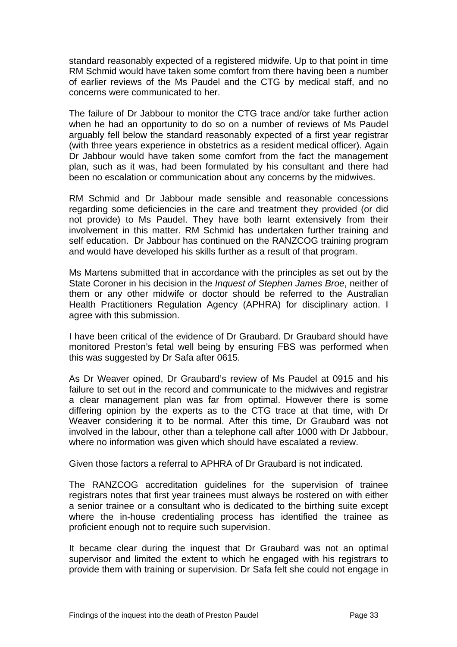standard reasonably expected of a registered midwife. Up to that point in time RM Schmid would have taken some comfort from there having been a number of earlier reviews of the Ms Paudel and the CTG by medical staff, and no concerns were communicated to her.

The failure of Dr Jabbour to monitor the CTG trace and/or take further action when he had an opportunity to do so on a number of reviews of Ms Paudel arguably fell below the standard reasonably expected of a first year registrar (with three years experience in obstetrics as a resident medical officer). Again Dr Jabbour would have taken some comfort from the fact the management plan, such as it was, had been formulated by his consultant and there had been no escalation or communication about any concerns by the midwives.

RM Schmid and Dr Jabbour made sensible and reasonable concessions regarding some deficiencies in the care and treatment they provided (or did not provide) to Ms Paudel. They have both learnt extensively from their involvement in this matter. RM Schmid has undertaken further training and self education. Dr Jabbour has continued on the RANZCOG training program and would have developed his skills further as a result of that program.

Ms Martens submitted that in accordance with the principles as set out by the State Coroner in his decision in the *Inquest of Stephen James Broe*, neither of them or any other midwife or doctor should be referred to the Australian Health Practitioners Regulation Agency (APHRA) for disciplinary action. I agree with this submission.

I have been critical of the evidence of Dr Graubard. Dr Graubard should have monitored Preston's fetal well being by ensuring FBS was performed when this was suggested by Dr Safa after 0615.

As Dr Weaver opined, Dr Graubard's review of Ms Paudel at 0915 and his failure to set out in the record and communicate to the midwives and registrar a clear management plan was far from optimal. However there is some differing opinion by the experts as to the CTG trace at that time, with Dr Weaver considering it to be normal. After this time, Dr Graubard was not involved in the labour, other than a telephone call after 1000 with Dr Jabbour, where no information was given which should have escalated a review.

Given those factors a referral to APHRA of Dr Graubard is not indicated.

The RANZCOG accreditation guidelines for the supervision of trainee registrars notes that first year trainees must always be rostered on with either a senior trainee or a consultant who is dedicated to the birthing suite except where the in-house credentialing process has identified the trainee as proficient enough not to require such supervision.

It became clear during the inquest that Dr Graubard was not an optimal supervisor and limited the extent to which he engaged with his registrars to provide them with training or supervision. Dr Safa felt she could not engage in